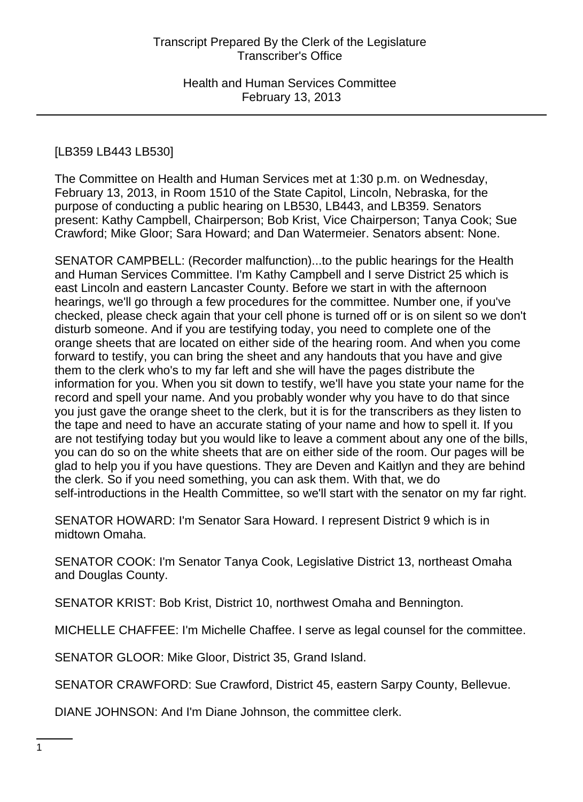# [LB359 LB443 LB530]

The Committee on Health and Human Services met at 1:30 p.m. on Wednesday, February 13, 2013, in Room 1510 of the State Capitol, Lincoln, Nebraska, for the purpose of conducting a public hearing on LB530, LB443, and LB359. Senators present: Kathy Campbell, Chairperson; Bob Krist, Vice Chairperson; Tanya Cook; Sue Crawford; Mike Gloor; Sara Howard; and Dan Watermeier. Senators absent: None.

SENATOR CAMPBELL: (Recorder malfunction)...to the public hearings for the Health and Human Services Committee. I'm Kathy Campbell and I serve District 25 which is east Lincoln and eastern Lancaster County. Before we start in with the afternoon hearings, we'll go through a few procedures for the committee. Number one, if you've checked, please check again that your cell phone is turned off or is on silent so we don't disturb someone. And if you are testifying today, you need to complete one of the orange sheets that are located on either side of the hearing room. And when you come forward to testify, you can bring the sheet and any handouts that you have and give them to the clerk who's to my far left and she will have the pages distribute the information for you. When you sit down to testify, we'll have you state your name for the record and spell your name. And you probably wonder why you have to do that since you just gave the orange sheet to the clerk, but it is for the transcribers as they listen to the tape and need to have an accurate stating of your name and how to spell it. If you are not testifying today but you would like to leave a comment about any one of the bills, you can do so on the white sheets that are on either side of the room. Our pages will be glad to help you if you have questions. They are Deven and Kaitlyn and they are behind the clerk. So if you need something, you can ask them. With that, we do self-introductions in the Health Committee, so we'll start with the senator on my far right.

SENATOR HOWARD: I'm Senator Sara Howard. I represent District 9 which is in midtown Omaha.

SENATOR COOK: I'm Senator Tanya Cook, Legislative District 13, northeast Omaha and Douglas County.

SENATOR KRIST: Bob Krist, District 10, northwest Omaha and Bennington.

MICHELLE CHAFFEE: I'm Michelle Chaffee. I serve as legal counsel for the committee.

SENATOR GLOOR: Mike Gloor, District 35, Grand Island.

SENATOR CRAWFORD: Sue Crawford, District 45, eastern Sarpy County, Bellevue.

DIANE JOHNSON: And I'm Diane Johnson, the committee clerk.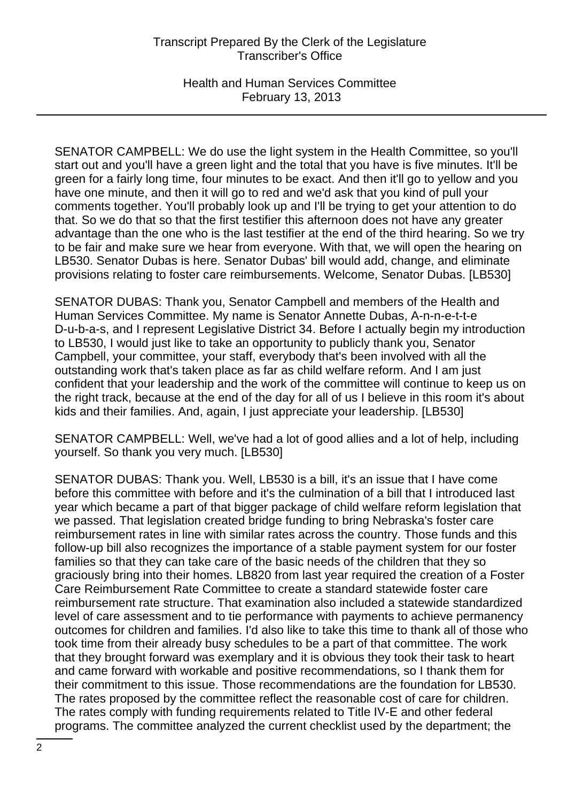Health and Human Services Committee February 13, 2013

SENATOR CAMPBELL: We do use the light system in the Health Committee, so you'll start out and you'll have a green light and the total that you have is five minutes. It'll be green for a fairly long time, four minutes to be exact. And then it'll go to yellow and you have one minute, and then it will go to red and we'd ask that you kind of pull your comments together. You'll probably look up and I'll be trying to get your attention to do that. So we do that so that the first testifier this afternoon does not have any greater advantage than the one who is the last testifier at the end of the third hearing. So we try to be fair and make sure we hear from everyone. With that, we will open the hearing on LB530. Senator Dubas is here. Senator Dubas' bill would add, change, and eliminate provisions relating to foster care reimbursements. Welcome, Senator Dubas. [LB530]

SENATOR DUBAS: Thank you, Senator Campbell and members of the Health and Human Services Committee. My name is Senator Annette Dubas, A-n-n-e-t-t-e D-u-b-a-s, and I represent Legislative District 34. Before I actually begin my introduction to LB530, I would just like to take an opportunity to publicly thank you, Senator Campbell, your committee, your staff, everybody that's been involved with all the outstanding work that's taken place as far as child welfare reform. And I am just confident that your leadership and the work of the committee will continue to keep us on the right track, because at the end of the day for all of us I believe in this room it's about kids and their families. And, again, I just appreciate your leadership. [LB530]

SENATOR CAMPBELL: Well, we've had a lot of good allies and a lot of help, including yourself. So thank you very much. [LB530]

SENATOR DUBAS: Thank you. Well, LB530 is a bill, it's an issue that I have come before this committee with before and it's the culmination of a bill that I introduced last year which became a part of that bigger package of child welfare reform legislation that we passed. That legislation created bridge funding to bring Nebraska's foster care reimbursement rates in line with similar rates across the country. Those funds and this follow-up bill also recognizes the importance of a stable payment system for our foster families so that they can take care of the basic needs of the children that they so graciously bring into their homes. LB820 from last year required the creation of a Foster Care Reimbursement Rate Committee to create a standard statewide foster care reimbursement rate structure. That examination also included a statewide standardized level of care assessment and to tie performance with payments to achieve permanency outcomes for children and families. I'd also like to take this time to thank all of those who took time from their already busy schedules to be a part of that committee. The work that they brought forward was exemplary and it is obvious they took their task to heart and came forward with workable and positive recommendations, so I thank them for their commitment to this issue. Those recommendations are the foundation for LB530. The rates proposed by the committee reflect the reasonable cost of care for children. The rates comply with funding requirements related to Title IV-E and other federal programs. The committee analyzed the current checklist used by the department; the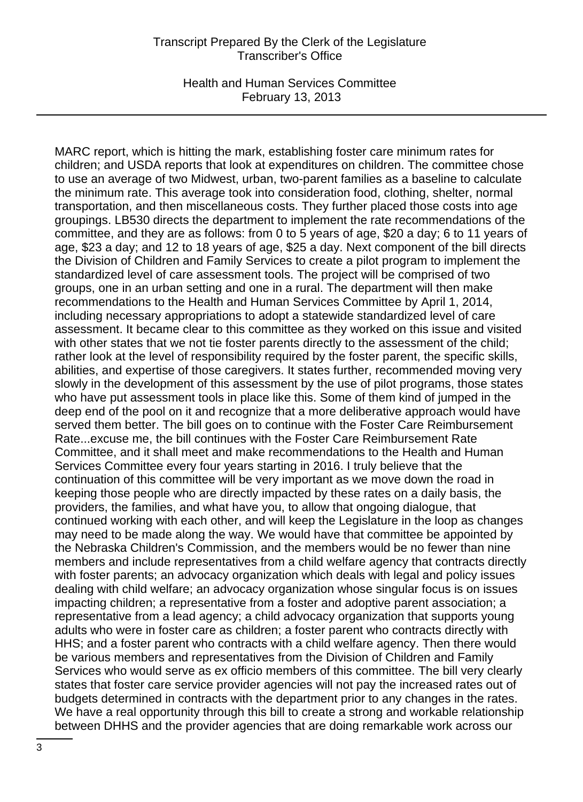Health and Human Services Committee February 13, 2013

MARC report, which is hitting the mark, establishing foster care minimum rates for children; and USDA reports that look at expenditures on children. The committee chose to use an average of two Midwest, urban, two-parent families as a baseline to calculate the minimum rate. This average took into consideration food, clothing, shelter, normal transportation, and then miscellaneous costs. They further placed those costs into age groupings. LB530 directs the department to implement the rate recommendations of the committee, and they are as follows: from 0 to 5 years of age, \$20 a day; 6 to 11 years of age, \$23 a day; and 12 to 18 years of age, \$25 a day. Next component of the bill directs the Division of Children and Family Services to create a pilot program to implement the standardized level of care assessment tools. The project will be comprised of two groups, one in an urban setting and one in a rural. The department will then make recommendations to the Health and Human Services Committee by April 1, 2014, including necessary appropriations to adopt a statewide standardized level of care assessment. It became clear to this committee as they worked on this issue and visited with other states that we not tie foster parents directly to the assessment of the child; rather look at the level of responsibility required by the foster parent, the specific skills, abilities, and expertise of those caregivers. It states further, recommended moving very slowly in the development of this assessment by the use of pilot programs, those states who have put assessment tools in place like this. Some of them kind of jumped in the deep end of the pool on it and recognize that a more deliberative approach would have served them better. The bill goes on to continue with the Foster Care Reimbursement Rate...excuse me, the bill continues with the Foster Care Reimbursement Rate Committee, and it shall meet and make recommendations to the Health and Human Services Committee every four years starting in 2016. I truly believe that the continuation of this committee will be very important as we move down the road in keeping those people who are directly impacted by these rates on a daily basis, the providers, the families, and what have you, to allow that ongoing dialogue, that continued working with each other, and will keep the Legislature in the loop as changes may need to be made along the way. We would have that committee be appointed by the Nebraska Children's Commission, and the members would be no fewer than nine members and include representatives from a child welfare agency that contracts directly with foster parents; an advocacy organization which deals with legal and policy issues dealing with child welfare; an advocacy organization whose singular focus is on issues impacting children; a representative from a foster and adoptive parent association; a representative from a lead agency; a child advocacy organization that supports young adults who were in foster care as children; a foster parent who contracts directly with HHS; and a foster parent who contracts with a child welfare agency. Then there would be various members and representatives from the Division of Children and Family Services who would serve as ex officio members of this committee. The bill very clearly states that foster care service provider agencies will not pay the increased rates out of budgets determined in contracts with the department prior to any changes in the rates. We have a real opportunity through this bill to create a strong and workable relationship between DHHS and the provider agencies that are doing remarkable work across our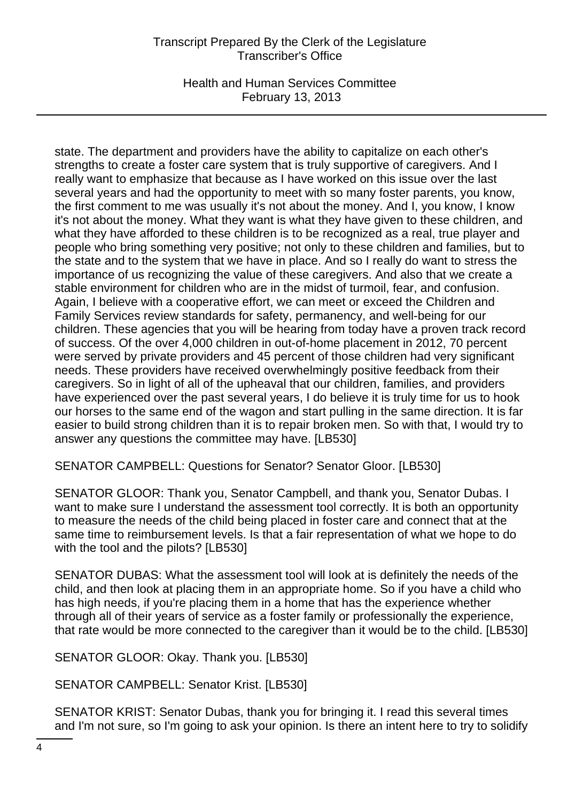Health and Human Services Committee February 13, 2013

state. The department and providers have the ability to capitalize on each other's strengths to create a foster care system that is truly supportive of caregivers. And I really want to emphasize that because as I have worked on this issue over the last several years and had the opportunity to meet with so many foster parents, you know, the first comment to me was usually it's not about the money. And I, you know, I know it's not about the money. What they want is what they have given to these children, and what they have afforded to these children is to be recognized as a real, true player and people who bring something very positive; not only to these children and families, but to the state and to the system that we have in place. And so I really do want to stress the importance of us recognizing the value of these caregivers. And also that we create a stable environment for children who are in the midst of turmoil, fear, and confusion. Again, I believe with a cooperative effort, we can meet or exceed the Children and Family Services review standards for safety, permanency, and well-being for our children. These agencies that you will be hearing from today have a proven track record of success. Of the over 4,000 children in out-of-home placement in 2012, 70 percent were served by private providers and 45 percent of those children had very significant needs. These providers have received overwhelmingly positive feedback from their caregivers. So in light of all of the upheaval that our children, families, and providers have experienced over the past several years, I do believe it is truly time for us to hook our horses to the same end of the wagon and start pulling in the same direction. It is far easier to build strong children than it is to repair broken men. So with that, I would try to answer any questions the committee may have. [LB530]

SENATOR CAMPBELL: Questions for Senator? Senator Gloor. [LB530]

SENATOR GLOOR: Thank you, Senator Campbell, and thank you, Senator Dubas. I want to make sure I understand the assessment tool correctly. It is both an opportunity to measure the needs of the child being placed in foster care and connect that at the same time to reimbursement levels. Is that a fair representation of what we hope to do with the tool and the pilots? [LB530]

SENATOR DUBAS: What the assessment tool will look at is definitely the needs of the child, and then look at placing them in an appropriate home. So if you have a child who has high needs, if you're placing them in a home that has the experience whether through all of their years of service as a foster family or professionally the experience, that rate would be more connected to the caregiver than it would be to the child. [LB530]

SENATOR GLOOR: Okay. Thank you. [LB530]

SENATOR CAMPBELL: Senator Krist. [LB530]

SENATOR KRIST: Senator Dubas, thank you for bringing it. I read this several times and I'm not sure, so I'm going to ask your opinion. Is there an intent here to try to solidify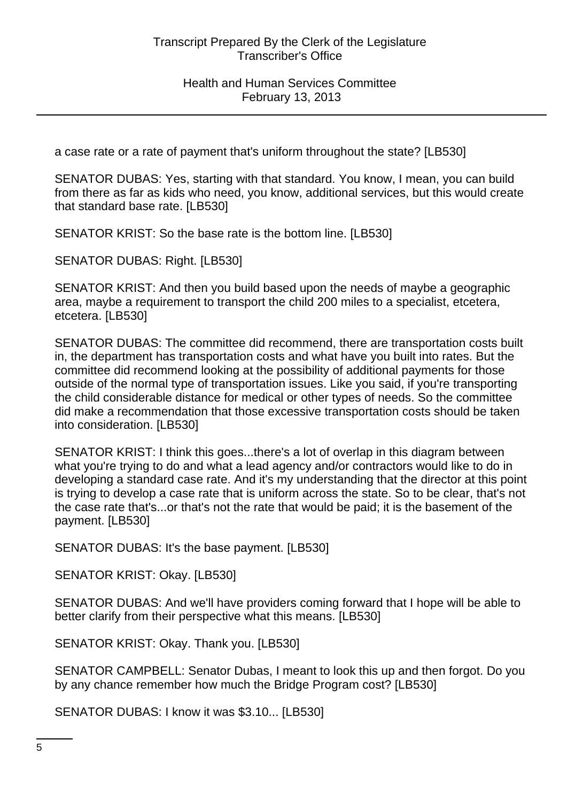a case rate or a rate of payment that's uniform throughout the state? [LB530]

SENATOR DUBAS: Yes, starting with that standard. You know, I mean, you can build from there as far as kids who need, you know, additional services, but this would create that standard base rate. [LB530]

SENATOR KRIST: So the base rate is the bottom line. [LB530]

SENATOR DUBAS: Right. [LB530]

SENATOR KRIST: And then you build based upon the needs of maybe a geographic area, maybe a requirement to transport the child 200 miles to a specialist, etcetera, etcetera. [LB530]

SENATOR DUBAS: The committee did recommend, there are transportation costs built in, the department has transportation costs and what have you built into rates. But the committee did recommend looking at the possibility of additional payments for those outside of the normal type of transportation issues. Like you said, if you're transporting the child considerable distance for medical or other types of needs. So the committee did make a recommendation that those excessive transportation costs should be taken into consideration. [LB530]

SENATOR KRIST: I think this goes...there's a lot of overlap in this diagram between what you're trying to do and what a lead agency and/or contractors would like to do in developing a standard case rate. And it's my understanding that the director at this point is trying to develop a case rate that is uniform across the state. So to be clear, that's not the case rate that's...or that's not the rate that would be paid; it is the basement of the payment. [LB530]

SENATOR DUBAS: It's the base payment. [LB530]

SENATOR KRIST: Okay. [LB530]

SENATOR DUBAS: And we'll have providers coming forward that I hope will be able to better clarify from their perspective what this means. [LB530]

SENATOR KRIST: Okay. Thank you. [LB530]

SENATOR CAMPBELL: Senator Dubas, I meant to look this up and then forgot. Do you by any chance remember how much the Bridge Program cost? [LB530]

SENATOR DUBAS: I know it was \$3.10... [LB530]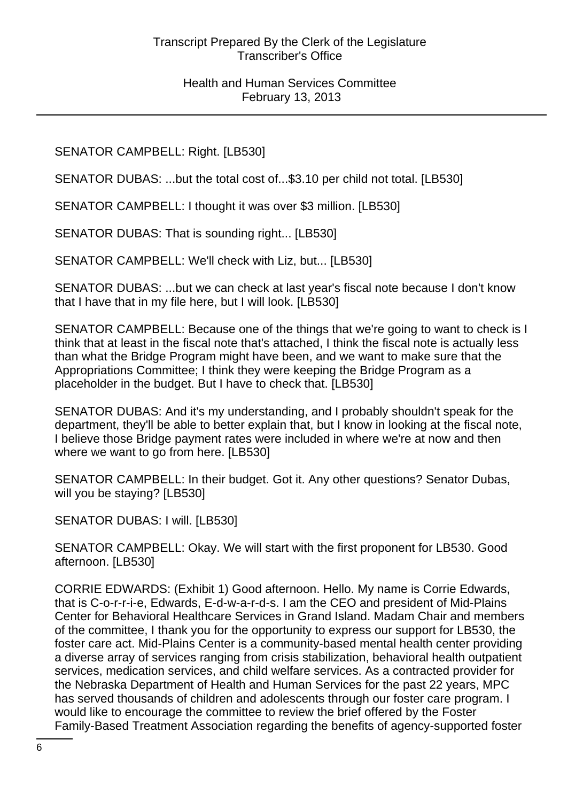SENATOR CAMPBELL: Right. [LB530]

SENATOR DUBAS: ...but the total cost of...\$3.10 per child not total. [LB530]

SENATOR CAMPBELL: I thought it was over \$3 million. [LB530]

SENATOR DUBAS: That is sounding right... [LB530]

SENATOR CAMPBELL: We'll check with Liz, but... [LB530]

SENATOR DUBAS: ...but we can check at last year's fiscal note because I don't know that I have that in my file here, but I will look. [LB530]

SENATOR CAMPBELL: Because one of the things that we're going to want to check is I think that at least in the fiscal note that's attached, I think the fiscal note is actually less than what the Bridge Program might have been, and we want to make sure that the Appropriations Committee; I think they were keeping the Bridge Program as a placeholder in the budget. But I have to check that. [LB530]

SENATOR DUBAS: And it's my understanding, and I probably shouldn't speak for the department, they'll be able to better explain that, but I know in looking at the fiscal note, I believe those Bridge payment rates were included in where we're at now and then where we want to go from here. [LB530]

SENATOR CAMPBELL: In their budget. Got it. Any other questions? Senator Dubas, will you be staying? [LB530]

SENATOR DUBAS: I will. [LB530]

SENATOR CAMPBELL: Okay. We will start with the first proponent for LB530. Good afternoon. [LB530]

CORRIE EDWARDS: (Exhibit 1) Good afternoon. Hello. My name is Corrie Edwards, that is C-o-r-r-i-e, Edwards, E-d-w-a-r-d-s. I am the CEO and president of Mid-Plains Center for Behavioral Healthcare Services in Grand Island. Madam Chair and members of the committee, I thank you for the opportunity to express our support for LB530, the foster care act. Mid-Plains Center is a community-based mental health center providing a diverse array of services ranging from crisis stabilization, behavioral health outpatient services, medication services, and child welfare services. As a contracted provider for the Nebraska Department of Health and Human Services for the past 22 years, MPC has served thousands of children and adolescents through our foster care program. I would like to encourage the committee to review the brief offered by the Foster Family-Based Treatment Association regarding the benefits of agency-supported foster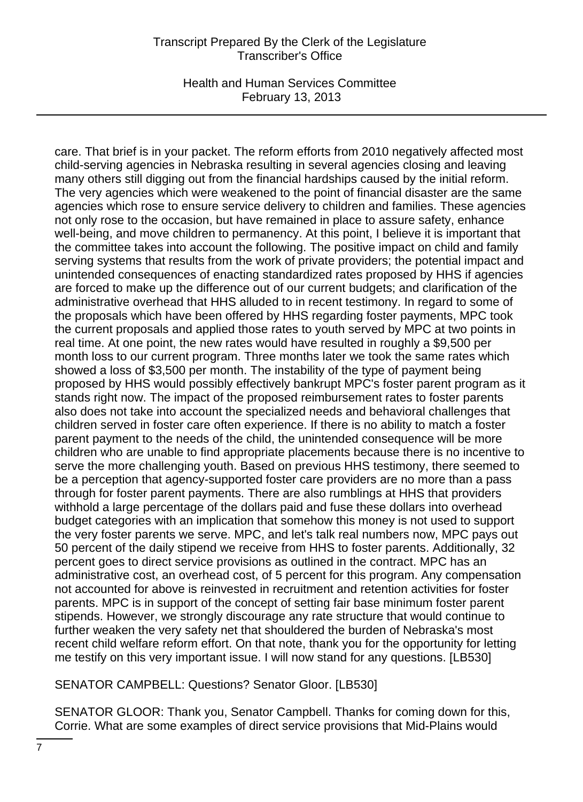Health and Human Services Committee February 13, 2013

care. That brief is in your packet. The reform efforts from 2010 negatively affected most child-serving agencies in Nebraska resulting in several agencies closing and leaving many others still digging out from the financial hardships caused by the initial reform. The very agencies which were weakened to the point of financial disaster are the same agencies which rose to ensure service delivery to children and families. These agencies not only rose to the occasion, but have remained in place to assure safety, enhance well-being, and move children to permanency. At this point, I believe it is important that the committee takes into account the following. The positive impact on child and family serving systems that results from the work of private providers; the potential impact and unintended consequences of enacting standardized rates proposed by HHS if agencies are forced to make up the difference out of our current budgets; and clarification of the administrative overhead that HHS alluded to in recent testimony. In regard to some of the proposals which have been offered by HHS regarding foster payments, MPC took the current proposals and applied those rates to youth served by MPC at two points in real time. At one point, the new rates would have resulted in roughly a \$9,500 per month loss to our current program. Three months later we took the same rates which showed a loss of \$3,500 per month. The instability of the type of payment being proposed by HHS would possibly effectively bankrupt MPC's foster parent program as it stands right now. The impact of the proposed reimbursement rates to foster parents also does not take into account the specialized needs and behavioral challenges that children served in foster care often experience. If there is no ability to match a foster parent payment to the needs of the child, the unintended consequence will be more children who are unable to find appropriate placements because there is no incentive to serve the more challenging youth. Based on previous HHS testimony, there seemed to be a perception that agency-supported foster care providers are no more than a pass through for foster parent payments. There are also rumblings at HHS that providers withhold a large percentage of the dollars paid and fuse these dollars into overhead budget categories with an implication that somehow this money is not used to support the very foster parents we serve. MPC, and let's talk real numbers now, MPC pays out 50 percent of the daily stipend we receive from HHS to foster parents. Additionally, 32 percent goes to direct service provisions as outlined in the contract. MPC has an administrative cost, an overhead cost, of 5 percent for this program. Any compensation not accounted for above is reinvested in recruitment and retention activities for foster parents. MPC is in support of the concept of setting fair base minimum foster parent stipends. However, we strongly discourage any rate structure that would continue to further weaken the very safety net that shouldered the burden of Nebraska's most recent child welfare reform effort. On that note, thank you for the opportunity for letting me testify on this very important issue. I will now stand for any questions. [LB530]

SENATOR CAMPBELL: Questions? Senator Gloor. [LB530]

SENATOR GLOOR: Thank you, Senator Campbell. Thanks for coming down for this, Corrie. What are some examples of direct service provisions that Mid-Plains would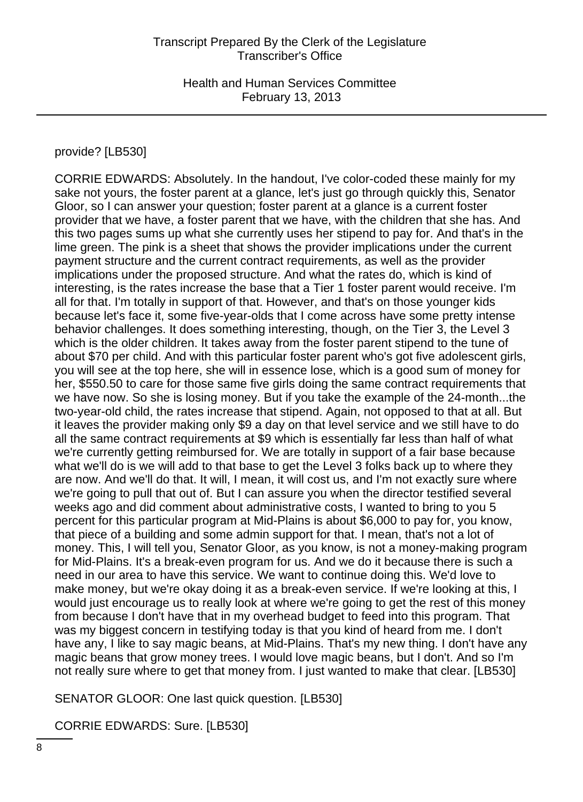### provide? [LB530]

CORRIE EDWARDS: Absolutely. In the handout, I've color-coded these mainly for my sake not yours, the foster parent at a glance, let's just go through quickly this, Senator Gloor, so I can answer your question; foster parent at a glance is a current foster provider that we have, a foster parent that we have, with the children that she has. And this two pages sums up what she currently uses her stipend to pay for. And that's in the lime green. The pink is a sheet that shows the provider implications under the current payment structure and the current contract requirements, as well as the provider implications under the proposed structure. And what the rates do, which is kind of interesting, is the rates increase the base that a Tier 1 foster parent would receive. I'm all for that. I'm totally in support of that. However, and that's on those younger kids because let's face it, some five-year-olds that I come across have some pretty intense behavior challenges. It does something interesting, though, on the Tier 3, the Level 3 which is the older children. It takes away from the foster parent stipend to the tune of about \$70 per child. And with this particular foster parent who's got five adolescent girls, you will see at the top here, she will in essence lose, which is a good sum of money for her, \$550.50 to care for those same five girls doing the same contract requirements that we have now. So she is losing money. But if you take the example of the 24-month...the two-year-old child, the rates increase that stipend. Again, not opposed to that at all. But it leaves the provider making only \$9 a day on that level service and we still have to do all the same contract requirements at \$9 which is essentially far less than half of what we're currently getting reimbursed for. We are totally in support of a fair base because what we'll do is we will add to that base to get the Level 3 folks back up to where they are now. And we'll do that. It will, I mean, it will cost us, and I'm not exactly sure where we're going to pull that out of. But I can assure you when the director testified several weeks ago and did comment about administrative costs, I wanted to bring to you 5 percent for this particular program at Mid-Plains is about \$6,000 to pay for, you know, that piece of a building and some admin support for that. I mean, that's not a lot of money. This, I will tell you, Senator Gloor, as you know, is not a money-making program for Mid-Plains. It's a break-even program for us. And we do it because there is such a need in our area to have this service. We want to continue doing this. We'd love to make money, but we're okay doing it as a break-even service. If we're looking at this, I would just encourage us to really look at where we're going to get the rest of this money from because I don't have that in my overhead budget to feed into this program. That was my biggest concern in testifying today is that you kind of heard from me. I don't have any, I like to say magic beans, at Mid-Plains. That's my new thing. I don't have any magic beans that grow money trees. I would love magic beans, but I don't. And so I'm not really sure where to get that money from. I just wanted to make that clear. [LB530]

SENATOR GLOOR: One last quick question. [LB530]

CORRIE EDWARDS: Sure. [LB530]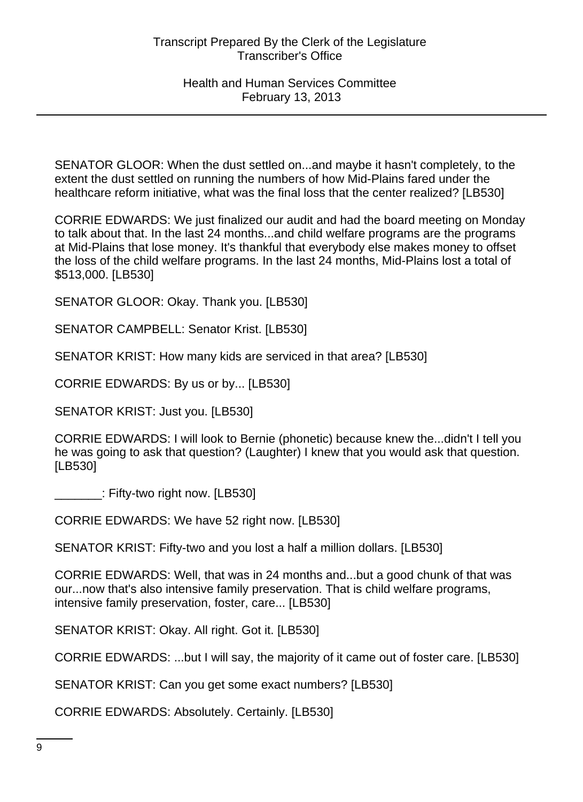SENATOR GLOOR: When the dust settled on...and maybe it hasn't completely, to the extent the dust settled on running the numbers of how Mid-Plains fared under the healthcare reform initiative, what was the final loss that the center realized? [LB530]

CORRIE EDWARDS: We just finalized our audit and had the board meeting on Monday to talk about that. In the last 24 months...and child welfare programs are the programs at Mid-Plains that lose money. It's thankful that everybody else makes money to offset the loss of the child welfare programs. In the last 24 months, Mid-Plains lost a total of \$513,000. [LB530]

SENATOR GLOOR: Okay. Thank you. [LB530]

SENATOR CAMPBELL: Senator Krist. [LB530]

SENATOR KRIST: How many kids are serviced in that area? [LB530]

CORRIE EDWARDS: By us or by... [LB530]

SENATOR KRIST: Just you. [LB530]

CORRIE EDWARDS: I will look to Bernie (phonetic) because knew the...didn't I tell you he was going to ask that question? (Laughter) I knew that you would ask that question. [LB530]

\_\_\_\_\_\_\_: Fifty-two right now. [LB530]

CORRIE EDWARDS: We have 52 right now. [LB530]

SENATOR KRIST: Fifty-two and you lost a half a million dollars. [LB530]

CORRIE EDWARDS: Well, that was in 24 months and...but a good chunk of that was our...now that's also intensive family preservation. That is child welfare programs, intensive family preservation, foster, care... [LB530]

SENATOR KRIST: Okay. All right. Got it. [LB530]

CORRIE EDWARDS: ...but I will say, the majority of it came out of foster care. [LB530]

SENATOR KRIST: Can you get some exact numbers? [LB530]

CORRIE EDWARDS: Absolutely. Certainly. [LB530]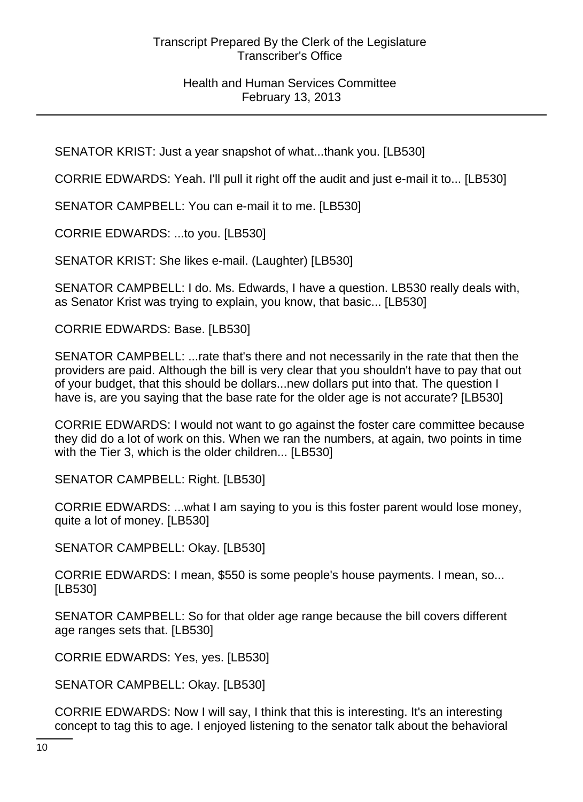SENATOR KRIST: Just a year snapshot of what...thank you. [LB530]

CORRIE EDWARDS: Yeah. I'll pull it right off the audit and just e-mail it to... [LB530]

SENATOR CAMPBELL: You can e-mail it to me. [LB530]

CORRIE EDWARDS: ...to you. [LB530]

SENATOR KRIST: She likes e-mail. (Laughter) [LB530]

SENATOR CAMPBELL: I do. Ms. Edwards, I have a question. LB530 really deals with, as Senator Krist was trying to explain, you know, that basic... [LB530]

CORRIE EDWARDS: Base. [LB530]

SENATOR CAMPBELL: ...rate that's there and not necessarily in the rate that then the providers are paid. Although the bill is very clear that you shouldn't have to pay that out of your budget, that this should be dollars...new dollars put into that. The question I have is, are you saying that the base rate for the older age is not accurate? [LB530]

CORRIE EDWARDS: I would not want to go against the foster care committee because they did do a lot of work on this. When we ran the numbers, at again, two points in time with the Tier 3, which is the older children... [LB530]

SENATOR CAMPBELL: Right. [LB530]

CORRIE EDWARDS: ...what I am saying to you is this foster parent would lose money, quite a lot of money. [LB530]

SENATOR CAMPBELL: Okay. [LB530]

CORRIE EDWARDS: I mean, \$550 is some people's house payments. I mean, so... [LB530]

SENATOR CAMPBELL: So for that older age range because the bill covers different age ranges sets that. [LB530]

CORRIE EDWARDS: Yes, yes. [LB530]

SENATOR CAMPBELL: Okay. [LB530]

CORRIE EDWARDS: Now I will say, I think that this is interesting. It's an interesting concept to tag this to age. I enjoyed listening to the senator talk about the behavioral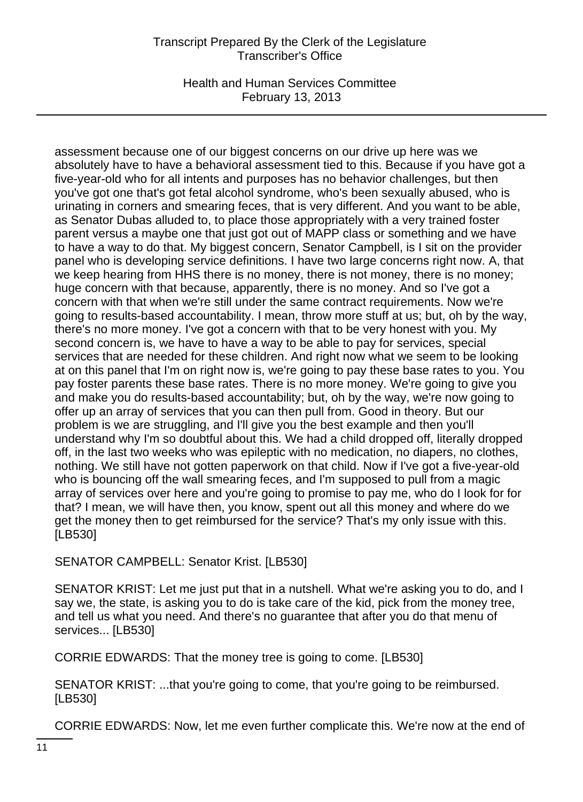Health and Human Services Committee February 13, 2013

assessment because one of our biggest concerns on our drive up here was we absolutely have to have a behavioral assessment tied to this. Because if you have got a five-year-old who for all intents and purposes has no behavior challenges, but then you've got one that's got fetal alcohol syndrome, who's been sexually abused, who is urinating in corners and smearing feces, that is very different. And you want to be able, as Senator Dubas alluded to, to place those appropriately with a very trained foster parent versus a maybe one that just got out of MAPP class or something and we have to have a way to do that. My biggest concern, Senator Campbell, is I sit on the provider panel who is developing service definitions. I have two large concerns right now. A, that we keep hearing from HHS there is no money, there is not money, there is no money; huge concern with that because, apparently, there is no money. And so I've got a concern with that when we're still under the same contract requirements. Now we're going to results-based accountability. I mean, throw more stuff at us; but, oh by the way, there's no more money. I've got a concern with that to be very honest with you. My second concern is, we have to have a way to be able to pay for services, special services that are needed for these children. And right now what we seem to be looking at on this panel that I'm on right now is, we're going to pay these base rates to you. You pay foster parents these base rates. There is no more money. We're going to give you and make you do results-based accountability; but, oh by the way, we're now going to offer up an array of services that you can then pull from. Good in theory. But our problem is we are struggling, and I'll give you the best example and then you'll understand why I'm so doubtful about this. We had a child dropped off, literally dropped off, in the last two weeks who was epileptic with no medication, no diapers, no clothes, nothing. We still have not gotten paperwork on that child. Now if I've got a five-year-old who is bouncing off the wall smearing feces, and I'm supposed to pull from a magic array of services over here and you're going to promise to pay me, who do I look for for that? I mean, we will have then, you know, spent out all this money and where do we get the money then to get reimbursed for the service? That's my only issue with this. [LB530]

SENATOR CAMPBELL: Senator Krist. [LB530]

SENATOR KRIST: Let me just put that in a nutshell. What we're asking you to do, and I say we, the state, is asking you to do is take care of the kid, pick from the money tree, and tell us what you need. And there's no guarantee that after you do that menu of services... [LB530]

CORRIE EDWARDS: That the money tree is going to come. [LB530]

SENATOR KRIST: ...that you're going to come, that you're going to be reimbursed. [LB530]

CORRIE EDWARDS: Now, let me even further complicate this. We're now at the end of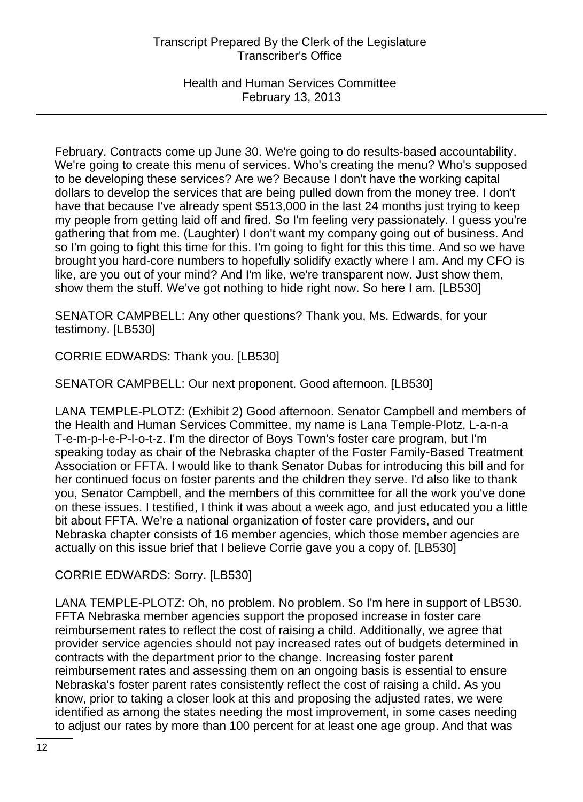Health and Human Services Committee February 13, 2013

February. Contracts come up June 30. We're going to do results-based accountability. We're going to create this menu of services. Who's creating the menu? Who's supposed to be developing these services? Are we? Because I don't have the working capital dollars to develop the services that are being pulled down from the money tree. I don't have that because I've already spent \$513,000 in the last 24 months just trying to keep my people from getting laid off and fired. So I'm feeling very passionately. I guess you're gathering that from me. (Laughter) I don't want my company going out of business. And so I'm going to fight this time for this. I'm going to fight for this this time. And so we have brought you hard-core numbers to hopefully solidify exactly where I am. And my CFO is like, are you out of your mind? And I'm like, we're transparent now. Just show them, show them the stuff. We've got nothing to hide right now. So here I am. [LB530]

SENATOR CAMPBELL: Any other questions? Thank you, Ms. Edwards, for your testimony. [LB530]

CORRIE EDWARDS: Thank you. [LB530]

SENATOR CAMPBELL: Our next proponent. Good afternoon. [LB530]

LANA TEMPLE-PLOTZ: (Exhibit 2) Good afternoon. Senator Campbell and members of the Health and Human Services Committee, my name is Lana Temple-Plotz, L-a-n-a T-e-m-p-l-e-P-l-o-t-z. I'm the director of Boys Town's foster care program, but I'm speaking today as chair of the Nebraska chapter of the Foster Family-Based Treatment Association or FFTA. I would like to thank Senator Dubas for introducing this bill and for her continued focus on foster parents and the children they serve. I'd also like to thank you, Senator Campbell, and the members of this committee for all the work you've done on these issues. I testified, I think it was about a week ago, and just educated you a little bit about FFTA. We're a national organization of foster care providers, and our Nebraska chapter consists of 16 member agencies, which those member agencies are actually on this issue brief that I believe Corrie gave you a copy of. [LB530]

CORRIE EDWARDS: Sorry. [LB530]

LANA TEMPLE-PLOTZ: Oh, no problem. No problem. So I'm here in support of LB530. FFTA Nebraska member agencies support the proposed increase in foster care reimbursement rates to reflect the cost of raising a child. Additionally, we agree that provider service agencies should not pay increased rates out of budgets determined in contracts with the department prior to the change. Increasing foster parent reimbursement rates and assessing them on an ongoing basis is essential to ensure Nebraska's foster parent rates consistently reflect the cost of raising a child. As you know, prior to taking a closer look at this and proposing the adjusted rates, we were identified as among the states needing the most improvement, in some cases needing to adjust our rates by more than 100 percent for at least one age group. And that was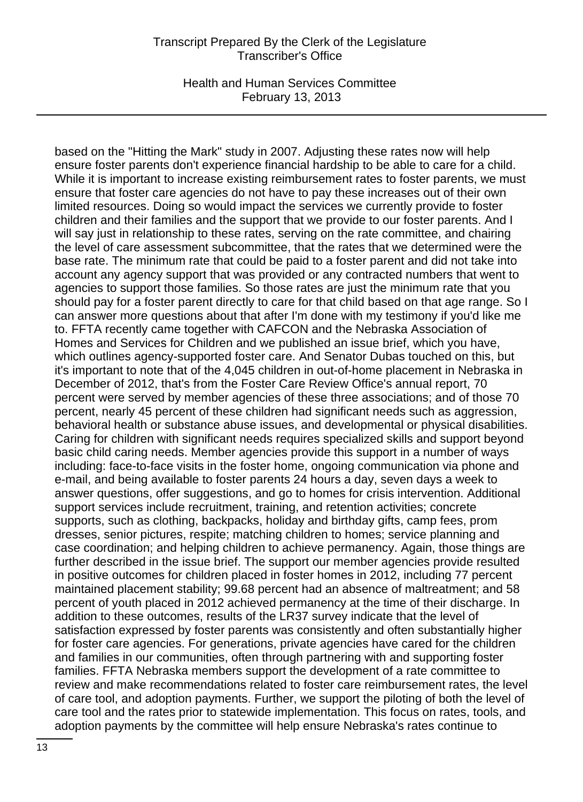Health and Human Services Committee February 13, 2013

based on the "Hitting the Mark" study in 2007. Adjusting these rates now will help ensure foster parents don't experience financial hardship to be able to care for a child. While it is important to increase existing reimbursement rates to foster parents, we must ensure that foster care agencies do not have to pay these increases out of their own limited resources. Doing so would impact the services we currently provide to foster children and their families and the support that we provide to our foster parents. And I will say just in relationship to these rates, serving on the rate committee, and chairing the level of care assessment subcommittee, that the rates that we determined were the base rate. The minimum rate that could be paid to a foster parent and did not take into account any agency support that was provided or any contracted numbers that went to agencies to support those families. So those rates are just the minimum rate that you should pay for a foster parent directly to care for that child based on that age range. So I can answer more questions about that after I'm done with my testimony if you'd like me to. FFTA recently came together with CAFCON and the Nebraska Association of Homes and Services for Children and we published an issue brief, which you have, which outlines agency-supported foster care. And Senator Dubas touched on this, but it's important to note that of the 4,045 children in out-of-home placement in Nebraska in December of 2012, that's from the Foster Care Review Office's annual report, 70 percent were served by member agencies of these three associations; and of those 70 percent, nearly 45 percent of these children had significant needs such as aggression, behavioral health or substance abuse issues, and developmental or physical disabilities. Caring for children with significant needs requires specialized skills and support beyond basic child caring needs. Member agencies provide this support in a number of ways including: face-to-face visits in the foster home, ongoing communication via phone and e-mail, and being available to foster parents 24 hours a day, seven days a week to answer questions, offer suggestions, and go to homes for crisis intervention. Additional support services include recruitment, training, and retention activities; concrete supports, such as clothing, backpacks, holiday and birthday gifts, camp fees, prom dresses, senior pictures, respite; matching children to homes; service planning and case coordination; and helping children to achieve permanency. Again, those things are further described in the issue brief. The support our member agencies provide resulted in positive outcomes for children placed in foster homes in 2012, including 77 percent maintained placement stability; 99.68 percent had an absence of maltreatment; and 58 percent of youth placed in 2012 achieved permanency at the time of their discharge. In addition to these outcomes, results of the LR37 survey indicate that the level of satisfaction expressed by foster parents was consistently and often substantially higher for foster care agencies. For generations, private agencies have cared for the children and families in our communities, often through partnering with and supporting foster families. FFTA Nebraska members support the development of a rate committee to review and make recommendations related to foster care reimbursement rates, the level of care tool, and adoption payments. Further, we support the piloting of both the level of care tool and the rates prior to statewide implementation. This focus on rates, tools, and adoption payments by the committee will help ensure Nebraska's rates continue to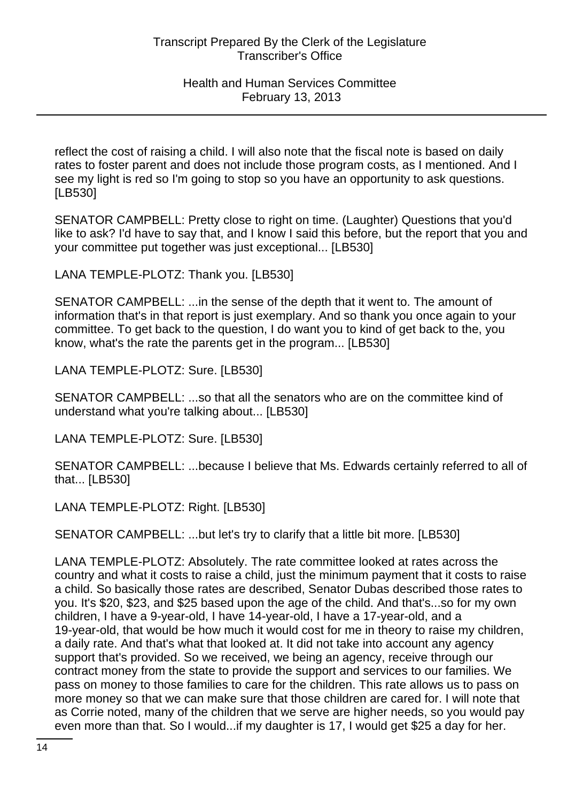reflect the cost of raising a child. I will also note that the fiscal note is based on daily rates to foster parent and does not include those program costs, as I mentioned. And I see my light is red so I'm going to stop so you have an opportunity to ask questions. [LB530]

SENATOR CAMPBELL: Pretty close to right on time. (Laughter) Questions that you'd like to ask? I'd have to say that, and I know I said this before, but the report that you and your committee put together was just exceptional... [LB530]

LANA TEMPLE-PLOTZ: Thank you. [LB530]

SENATOR CAMPBELL: ...in the sense of the depth that it went to. The amount of information that's in that report is just exemplary. And so thank you once again to your committee. To get back to the question, I do want you to kind of get back to the, you know, what's the rate the parents get in the program... [LB530]

LANA TEMPLE-PLOTZ: Sure. [LB530]

SENATOR CAMPBELL: ...so that all the senators who are on the committee kind of understand what you're talking about... [LB530]

LANA TEMPLE-PLOTZ: Sure. [LB530]

SENATOR CAMPBELL: ...because I believe that Ms. Edwards certainly referred to all of that... [LB530]

LANA TEMPLE-PLOTZ: Right. [LB530]

SENATOR CAMPBELL: ...but let's try to clarify that a little bit more. [LB530]

LANA TEMPLE-PLOTZ: Absolutely. The rate committee looked at rates across the country and what it costs to raise a child, just the minimum payment that it costs to raise a child. So basically those rates are described, Senator Dubas described those rates to you. It's \$20, \$23, and \$25 based upon the age of the child. And that's...so for my own children, I have a 9-year-old, I have 14-year-old, I have a 17-year-old, and a 19-year-old, that would be how much it would cost for me in theory to raise my children, a daily rate. And that's what that looked at. It did not take into account any agency support that's provided. So we received, we being an agency, receive through our contract money from the state to provide the support and services to our families. We pass on money to those families to care for the children. This rate allows us to pass on more money so that we can make sure that those children are cared for. I will note that as Corrie noted, many of the children that we serve are higher needs, so you would pay even more than that. So I would...if my daughter is 17, I would get \$25 a day for her.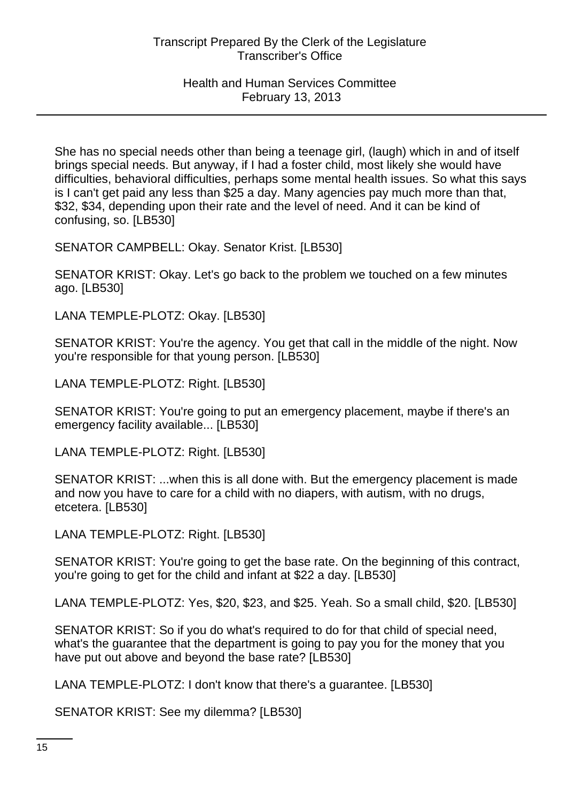She has no special needs other than being a teenage girl, (laugh) which in and of itself brings special needs. But anyway, if I had a foster child, most likely she would have difficulties, behavioral difficulties, perhaps some mental health issues. So what this says is I can't get paid any less than \$25 a day. Many agencies pay much more than that, \$32, \$34, depending upon their rate and the level of need. And it can be kind of confusing, so. [LB530]

SENATOR CAMPBELL: Okay. Senator Krist. [LB530]

SENATOR KRIST: Okay. Let's go back to the problem we touched on a few minutes ago. [LB530]

LANA TEMPLE-PLOTZ: Okay. [LB530]

SENATOR KRIST: You're the agency. You get that call in the middle of the night. Now you're responsible for that young person. [LB530]

LANA TEMPLE-PLOTZ: Right. [LB530]

SENATOR KRIST: You're going to put an emergency placement, maybe if there's an emergency facility available... [LB530]

LANA TEMPLE-PLOTZ: Right. [LB530]

SENATOR KRIST: ...when this is all done with. But the emergency placement is made and now you have to care for a child with no diapers, with autism, with no drugs, etcetera. [LB530]

LANA TEMPLE-PLOTZ: Right. [LB530]

SENATOR KRIST: You're going to get the base rate. On the beginning of this contract, you're going to get for the child and infant at \$22 a day. [LB530]

LANA TEMPLE-PLOTZ: Yes, \$20, \$23, and \$25. Yeah. So a small child, \$20. [LB530]

SENATOR KRIST: So if you do what's required to do for that child of special need, what's the guarantee that the department is going to pay you for the money that you have put out above and beyond the base rate? [LB530]

LANA TEMPLE-PLOTZ: I don't know that there's a guarantee. [LB530]

SENATOR KRIST: See my dilemma? [LB530]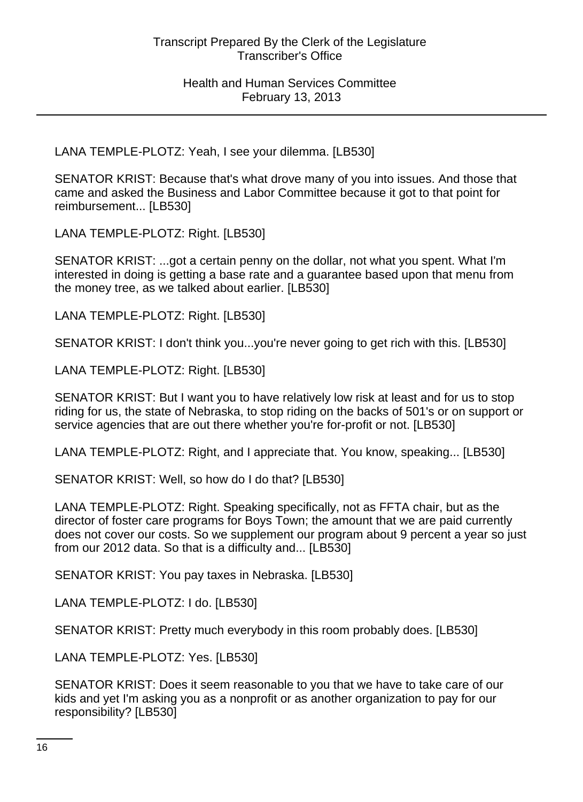LANA TEMPLE-PLOTZ: Yeah, I see your dilemma. [LB530]

SENATOR KRIST: Because that's what drove many of you into issues. And those that came and asked the Business and Labor Committee because it got to that point for reimbursement... [LB530]

LANA TEMPLE-PLOTZ: Right. [LB530]

SENATOR KRIST: ...got a certain penny on the dollar, not what you spent. What I'm interested in doing is getting a base rate and a guarantee based upon that menu from the money tree, as we talked about earlier. [LB530]

LANA TEMPLE-PLOTZ: Right. [LB530]

SENATOR KRIST: I don't think you...you're never going to get rich with this. [LB530]

LANA TEMPLE-PLOTZ: Right. [LB530]

SENATOR KRIST: But I want you to have relatively low risk at least and for us to stop riding for us, the state of Nebraska, to stop riding on the backs of 501's or on support or service agencies that are out there whether you're for-profit or not. [LB530]

LANA TEMPLE-PLOTZ: Right, and I appreciate that. You know, speaking... [LB530]

SENATOR KRIST: Well, so how do I do that? [LB530]

LANA TEMPLE-PLOTZ: Right. Speaking specifically, not as FFTA chair, but as the director of foster care programs for Boys Town; the amount that we are paid currently does not cover our costs. So we supplement our program about 9 percent a year so just from our 2012 data. So that is a difficulty and... [LB530]

SENATOR KRIST: You pay taxes in Nebraska. [LB530]

LANA TEMPLE-PLOTZ: I do. [LB530]

SENATOR KRIST: Pretty much everybody in this room probably does. [LB530]

LANA TEMPLE-PLOTZ: Yes. [LB530]

SENATOR KRIST: Does it seem reasonable to you that we have to take care of our kids and yet I'm asking you as a nonprofit or as another organization to pay for our responsibility? [LB530]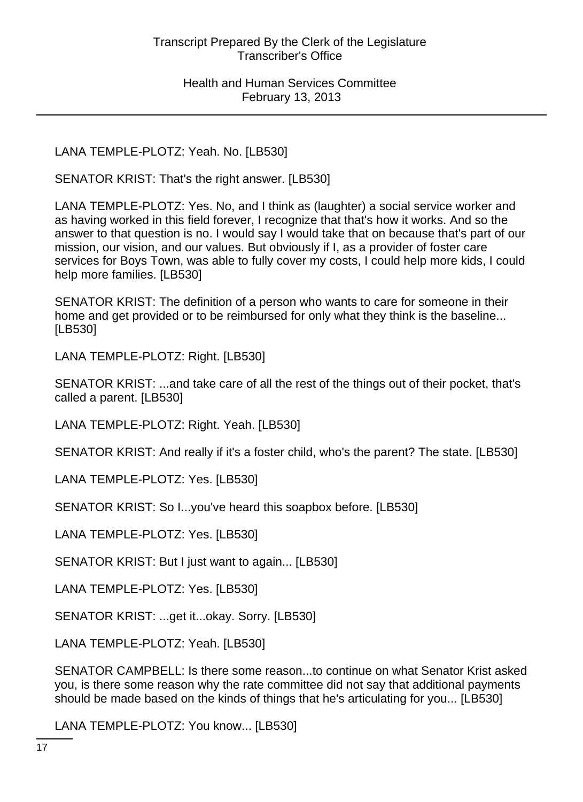LANA TEMPLE-PLOTZ: Yeah. No. [LB530]

SENATOR KRIST: That's the right answer. [LB530]

LANA TEMPLE-PLOTZ: Yes. No, and I think as (laughter) a social service worker and as having worked in this field forever, I recognize that that's how it works. And so the answer to that question is no. I would say I would take that on because that's part of our mission, our vision, and our values. But obviously if I, as a provider of foster care services for Boys Town, was able to fully cover my costs, I could help more kids, I could help more families. [LB530]

SENATOR KRIST: The definition of a person who wants to care for someone in their home and get provided or to be reimbursed for only what they think is the baseline... [LB530]

LANA TEMPLE-PLOTZ: Right. [LB530]

SENATOR KRIST: ...and take care of all the rest of the things out of their pocket, that's called a parent. [LB530]

LANA TEMPLE-PLOTZ: Right. Yeah. [LB530]

SENATOR KRIST: And really if it's a foster child, who's the parent? The state. [LB530]

LANA TEMPLE-PLOTZ: Yes. [LB530]

SENATOR KRIST: So I...you've heard this soapbox before. [LB530]

LANA TEMPLE-PLOTZ: Yes. [LB530]

SENATOR KRIST: But I just want to again... [LB530]

LANA TEMPLE-PLOTZ: Yes. [LB530]

SENATOR KRIST: ...get it...okay. Sorry. [LB530]

LANA TEMPLE-PLOTZ: Yeah. [LB530]

SENATOR CAMPBELL: Is there some reason...to continue on what Senator Krist asked you, is there some reason why the rate committee did not say that additional payments should be made based on the kinds of things that he's articulating for you... [LB530]

LANA TEMPLE-PLOTZ: You know... [LB530]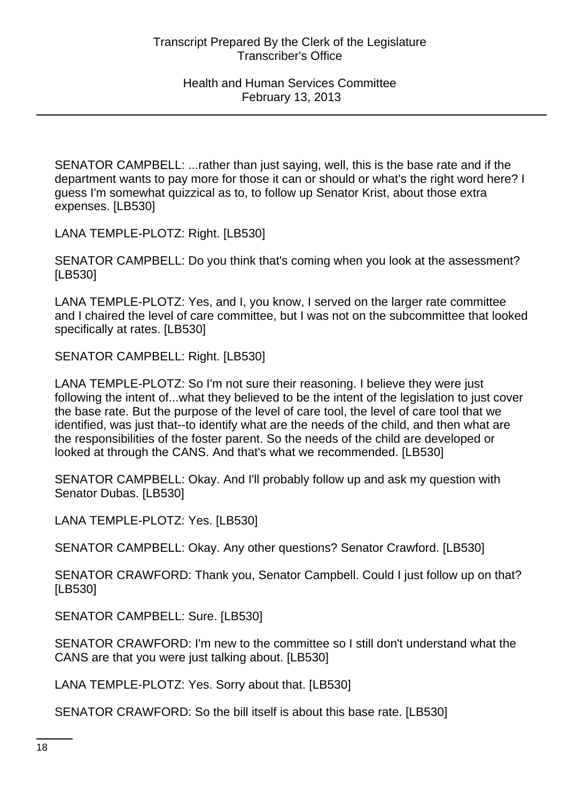SENATOR CAMPBELL: ...rather than just saying, well, this is the base rate and if the department wants to pay more for those it can or should or what's the right word here? I guess I'm somewhat quizzical as to, to follow up Senator Krist, about those extra expenses. [LB530]

LANA TEMPLE-PLOTZ: Right. [LB530]

SENATOR CAMPBELL: Do you think that's coming when you look at the assessment? [LB530]

LANA TEMPLE-PLOTZ: Yes, and I, you know, I served on the larger rate committee and I chaired the level of care committee, but I was not on the subcommittee that looked specifically at rates. [LB530]

SENATOR CAMPBELL: Right. [LB530]

LANA TEMPLE-PLOTZ: So I'm not sure their reasoning. I believe they were just following the intent of...what they believed to be the intent of the legislation to just cover the base rate. But the purpose of the level of care tool, the level of care tool that we identified, was just that--to identify what are the needs of the child, and then what are the responsibilities of the foster parent. So the needs of the child are developed or looked at through the CANS. And that's what we recommended. [LB530]

SENATOR CAMPBELL: Okay. And I'll probably follow up and ask my question with Senator Dubas. [LB530]

LANA TEMPLE-PLOTZ: Yes. [LB530]

SENATOR CAMPBELL: Okay. Any other questions? Senator Crawford. [LB530]

SENATOR CRAWFORD: Thank you, Senator Campbell. Could I just follow up on that? [LB530]

SENATOR CAMPBELL: Sure. [LB530]

SENATOR CRAWFORD: I'm new to the committee so I still don't understand what the CANS are that you were just talking about. [LB530]

LANA TEMPLE-PLOTZ: Yes. Sorry about that. [LB530]

SENATOR CRAWFORD: So the bill itself is about this base rate. [LB530]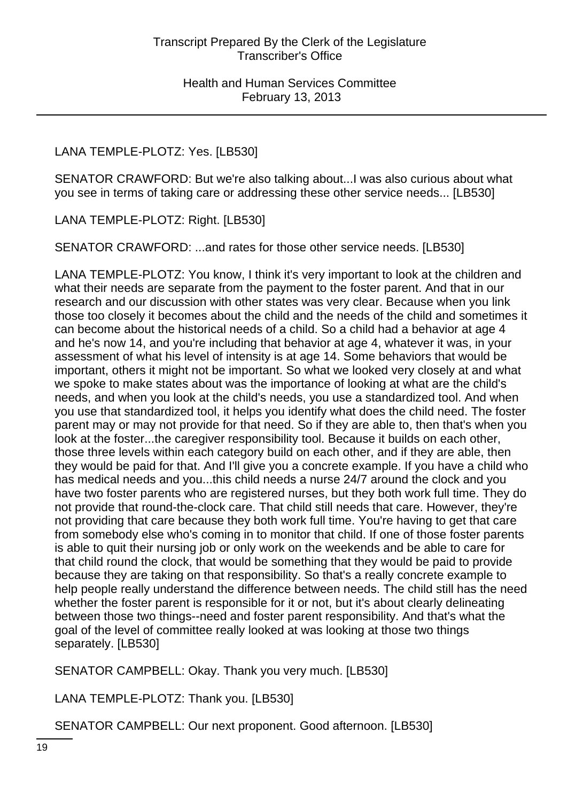# LANA TEMPLE-PLOTZ: Yes. [LB530]

SENATOR CRAWFORD: But we're also talking about...I was also curious about what you see in terms of taking care or addressing these other service needs... [LB530]

LANA TEMPLE-PLOTZ: Right. [LB530]

SENATOR CRAWFORD: ...and rates for those other service needs. [LB530]

LANA TEMPLE-PLOTZ: You know, I think it's very important to look at the children and what their needs are separate from the payment to the foster parent. And that in our research and our discussion with other states was very clear. Because when you link those too closely it becomes about the child and the needs of the child and sometimes it can become about the historical needs of a child. So a child had a behavior at age 4 and he's now 14, and you're including that behavior at age 4, whatever it was, in your assessment of what his level of intensity is at age 14. Some behaviors that would be important, others it might not be important. So what we looked very closely at and what we spoke to make states about was the importance of looking at what are the child's needs, and when you look at the child's needs, you use a standardized tool. And when you use that standardized tool, it helps you identify what does the child need. The foster parent may or may not provide for that need. So if they are able to, then that's when you look at the foster...the caregiver responsibility tool. Because it builds on each other, those three levels within each category build on each other, and if they are able, then they would be paid for that. And I'll give you a concrete example. If you have a child who has medical needs and you...this child needs a nurse 24/7 around the clock and you have two foster parents who are registered nurses, but they both work full time. They do not provide that round-the-clock care. That child still needs that care. However, they're not providing that care because they both work full time. You're having to get that care from somebody else who's coming in to monitor that child. If one of those foster parents is able to quit their nursing job or only work on the weekends and be able to care for that child round the clock, that would be something that they would be paid to provide because they are taking on that responsibility. So that's a really concrete example to help people really understand the difference between needs. The child still has the need whether the foster parent is responsible for it or not, but it's about clearly delineating between those two things--need and foster parent responsibility. And that's what the goal of the level of committee really looked at was looking at those two things separately. [LB530]

SENATOR CAMPBELL: Okay. Thank you very much. [LB530]

LANA TEMPLE-PLOTZ: Thank you. [LB530]

SENATOR CAMPBELL: Our next proponent. Good afternoon. [LB530]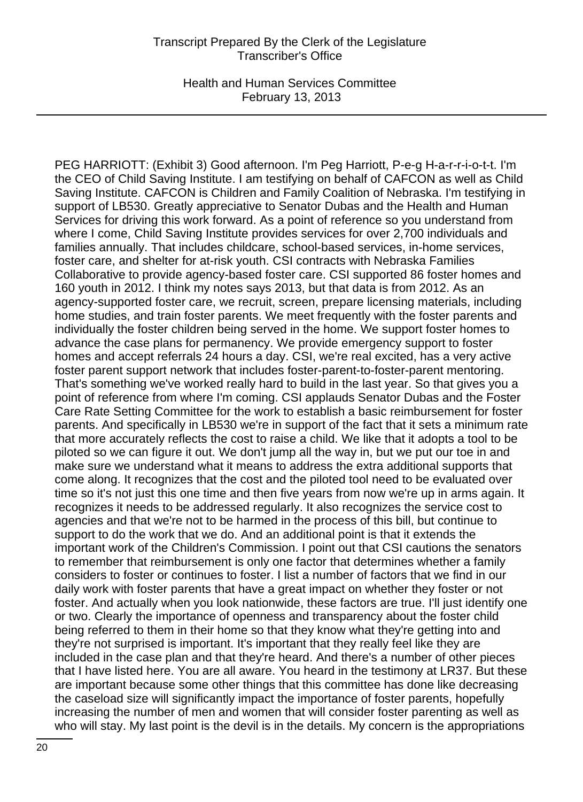Health and Human Services Committee February 13, 2013

PEG HARRIOTT: (Exhibit 3) Good afternoon. I'm Peg Harriott, P-e-g H-a-r-r-i-o-t-t. I'm the CEO of Child Saving Institute. I am testifying on behalf of CAFCON as well as Child Saving Institute. CAFCON is Children and Family Coalition of Nebraska. I'm testifying in support of LB530. Greatly appreciative to Senator Dubas and the Health and Human Services for driving this work forward. As a point of reference so you understand from where I come, Child Saving Institute provides services for over 2,700 individuals and families annually. That includes childcare, school-based services, in-home services, foster care, and shelter for at-risk youth. CSI contracts with Nebraska Families Collaborative to provide agency-based foster care. CSI supported 86 foster homes and 160 youth in 2012. I think my notes says 2013, but that data is from 2012. As an agency-supported foster care, we recruit, screen, prepare licensing materials, including home studies, and train foster parents. We meet frequently with the foster parents and individually the foster children being served in the home. We support foster homes to advance the case plans for permanency. We provide emergency support to foster homes and accept referrals 24 hours a day. CSI, we're real excited, has a very active foster parent support network that includes foster-parent-to-foster-parent mentoring. That's something we've worked really hard to build in the last year. So that gives you a point of reference from where I'm coming. CSI applauds Senator Dubas and the Foster Care Rate Setting Committee for the work to establish a basic reimbursement for foster parents. And specifically in LB530 we're in support of the fact that it sets a minimum rate that more accurately reflects the cost to raise a child. We like that it adopts a tool to be piloted so we can figure it out. We don't jump all the way in, but we put our toe in and make sure we understand what it means to address the extra additional supports that come along. It recognizes that the cost and the piloted tool need to be evaluated over time so it's not just this one time and then five years from now we're up in arms again. It recognizes it needs to be addressed regularly. It also recognizes the service cost to agencies and that we're not to be harmed in the process of this bill, but continue to support to do the work that we do. And an additional point is that it extends the important work of the Children's Commission. I point out that CSI cautions the senators to remember that reimbursement is only one factor that determines whether a family considers to foster or continues to foster. I list a number of factors that we find in our daily work with foster parents that have a great impact on whether they foster or not foster. And actually when you look nationwide, these factors are true. I'll just identify one or two. Clearly the importance of openness and transparency about the foster child being referred to them in their home so that they know what they're getting into and they're not surprised is important. It's important that they really feel like they are included in the case plan and that they're heard. And there's a number of other pieces that I have listed here. You are all aware. You heard in the testimony at LR37. But these are important because some other things that this committee has done like decreasing the caseload size will significantly impact the importance of foster parents, hopefully increasing the number of men and women that will consider foster parenting as well as who will stay. My last point is the devil is in the details. My concern is the appropriations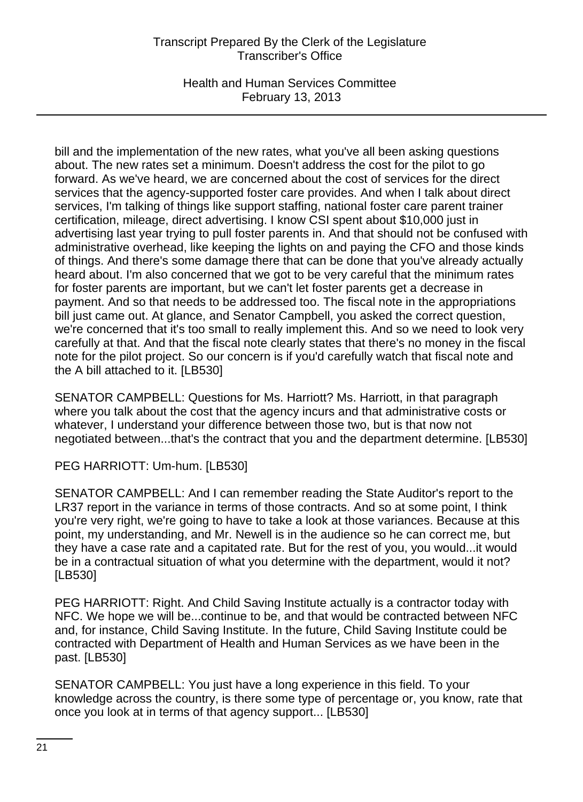Health and Human Services Committee February 13, 2013

bill and the implementation of the new rates, what you've all been asking questions about. The new rates set a minimum. Doesn't address the cost for the pilot to go forward. As we've heard, we are concerned about the cost of services for the direct services that the agency-supported foster care provides. And when I talk about direct services, I'm talking of things like support staffing, national foster care parent trainer certification, mileage, direct advertising. I know CSI spent about \$10,000 just in advertising last year trying to pull foster parents in. And that should not be confused with administrative overhead, like keeping the lights on and paying the CFO and those kinds of things. And there's some damage there that can be done that you've already actually heard about. I'm also concerned that we got to be very careful that the minimum rates for foster parents are important, but we can't let foster parents get a decrease in payment. And so that needs to be addressed too. The fiscal note in the appropriations bill just came out. At glance, and Senator Campbell, you asked the correct question, we're concerned that it's too small to really implement this. And so we need to look very carefully at that. And that the fiscal note clearly states that there's no money in the fiscal note for the pilot project. So our concern is if you'd carefully watch that fiscal note and the A bill attached to it. [LB530]

SENATOR CAMPBELL: Questions for Ms. Harriott? Ms. Harriott, in that paragraph where you talk about the cost that the agency incurs and that administrative costs or whatever, I understand your difference between those two, but is that now not negotiated between...that's the contract that you and the department determine. [LB530]

PEG HARRIOTT: Um-hum. [LB530]

SENATOR CAMPBELL: And I can remember reading the State Auditor's report to the LR37 report in the variance in terms of those contracts. And so at some point, I think you're very right, we're going to have to take a look at those variances. Because at this point, my understanding, and Mr. Newell is in the audience so he can correct me, but they have a case rate and a capitated rate. But for the rest of you, you would...it would be in a contractual situation of what you determine with the department, would it not? [LB530]

PEG HARRIOTT: Right. And Child Saving Institute actually is a contractor today with NFC. We hope we will be...continue to be, and that would be contracted between NFC and, for instance, Child Saving Institute. In the future, Child Saving Institute could be contracted with Department of Health and Human Services as we have been in the past. [LB530]

SENATOR CAMPBELL: You just have a long experience in this field. To your knowledge across the country, is there some type of percentage or, you know, rate that once you look at in terms of that agency support... [LB530]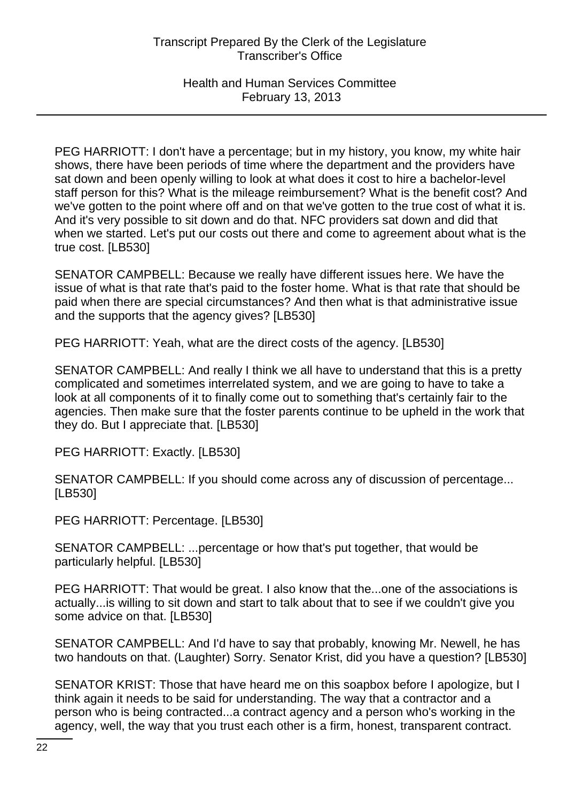PEG HARRIOTT: I don't have a percentage; but in my history, you know, my white hair shows, there have been periods of time where the department and the providers have sat down and been openly willing to look at what does it cost to hire a bachelor-level staff person for this? What is the mileage reimbursement? What is the benefit cost? And we've gotten to the point where off and on that we've gotten to the true cost of what it is. And it's very possible to sit down and do that. NFC providers sat down and did that when we started. Let's put our costs out there and come to agreement about what is the true cost. [LB530]

SENATOR CAMPBELL: Because we really have different issues here. We have the issue of what is that rate that's paid to the foster home. What is that rate that should be paid when there are special circumstances? And then what is that administrative issue and the supports that the agency gives? [LB530]

PEG HARRIOTT: Yeah, what are the direct costs of the agency. [LB530]

SENATOR CAMPBELL: And really I think we all have to understand that this is a pretty complicated and sometimes interrelated system, and we are going to have to take a look at all components of it to finally come out to something that's certainly fair to the agencies. Then make sure that the foster parents continue to be upheld in the work that they do. But I appreciate that. [LB530]

PEG HARRIOTT: Exactly. [LB530]

SENATOR CAMPBELL: If you should come across any of discussion of percentage... [LB530]

PEG HARRIOTT: Percentage. [LB530]

SENATOR CAMPBELL: ...percentage or how that's put together, that would be particularly helpful. [LB530]

PEG HARRIOTT: That would be great. I also know that the...one of the associations is actually...is willing to sit down and start to talk about that to see if we couldn't give you some advice on that. [LB530]

SENATOR CAMPBELL: And I'd have to say that probably, knowing Mr. Newell, he has two handouts on that. (Laughter) Sorry. Senator Krist, did you have a question? [LB530]

SENATOR KRIST: Those that have heard me on this soapbox before I apologize, but I think again it needs to be said for understanding. The way that a contractor and a person who is being contracted...a contract agency and a person who's working in the agency, well, the way that you trust each other is a firm, honest, transparent contract.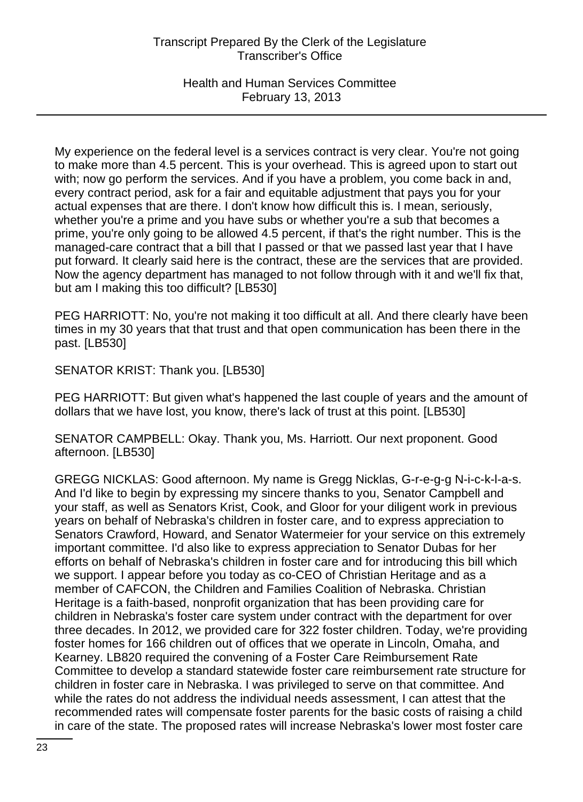Health and Human Services Committee February 13, 2013

My experience on the federal level is a services contract is very clear. You're not going to make more than 4.5 percent. This is your overhead. This is agreed upon to start out with; now go perform the services. And if you have a problem, you come back in and, every contract period, ask for a fair and equitable adjustment that pays you for your actual expenses that are there. I don't know how difficult this is. I mean, seriously, whether you're a prime and you have subs or whether you're a sub that becomes a prime, you're only going to be allowed 4.5 percent, if that's the right number. This is the managed-care contract that a bill that I passed or that we passed last year that I have put forward. It clearly said here is the contract, these are the services that are provided. Now the agency department has managed to not follow through with it and we'll fix that, but am I making this too difficult? [LB530]

PEG HARRIOTT: No, you're not making it too difficult at all. And there clearly have been times in my 30 years that that trust and that open communication has been there in the past. [LB530]

SENATOR KRIST: Thank you. [LB530]

PEG HARRIOTT: But given what's happened the last couple of years and the amount of dollars that we have lost, you know, there's lack of trust at this point. [LB530]

SENATOR CAMPBELL: Okay. Thank you, Ms. Harriott. Our next proponent. Good afternoon. [LB530]

GREGG NICKLAS: Good afternoon. My name is Gregg Nicklas, G-r-e-g-g N-i-c-k-l-a-s. And I'd like to begin by expressing my sincere thanks to you, Senator Campbell and your staff, as well as Senators Krist, Cook, and Gloor for your diligent work in previous years on behalf of Nebraska's children in foster care, and to express appreciation to Senators Crawford, Howard, and Senator Watermeier for your service on this extremely important committee. I'd also like to express appreciation to Senator Dubas for her efforts on behalf of Nebraska's children in foster care and for introducing this bill which we support. I appear before you today as co-CEO of Christian Heritage and as a member of CAFCON, the Children and Families Coalition of Nebraska. Christian Heritage is a faith-based, nonprofit organization that has been providing care for children in Nebraska's foster care system under contract with the department for over three decades. In 2012, we provided care for 322 foster children. Today, we're providing foster homes for 166 children out of offices that we operate in Lincoln, Omaha, and Kearney. LB820 required the convening of a Foster Care Reimbursement Rate Committee to develop a standard statewide foster care reimbursement rate structure for children in foster care in Nebraska. I was privileged to serve on that committee. And while the rates do not address the individual needs assessment, I can attest that the recommended rates will compensate foster parents for the basic costs of raising a child in care of the state. The proposed rates will increase Nebraska's lower most foster care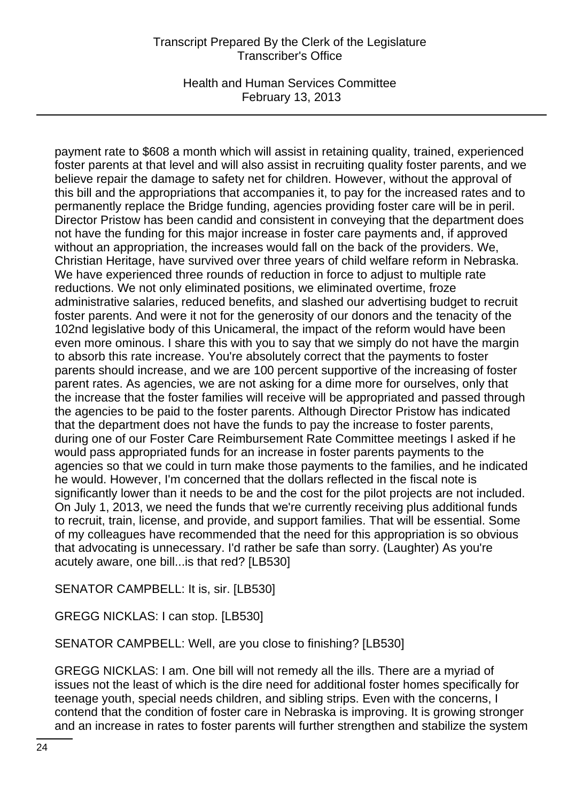Health and Human Services Committee February 13, 2013

payment rate to \$608 a month which will assist in retaining quality, trained, experienced foster parents at that level and will also assist in recruiting quality foster parents, and we believe repair the damage to safety net for children. However, without the approval of this bill and the appropriations that accompanies it, to pay for the increased rates and to permanently replace the Bridge funding, agencies providing foster care will be in peril. Director Pristow has been candid and consistent in conveying that the department does not have the funding for this major increase in foster care payments and, if approved without an appropriation, the increases would fall on the back of the providers. We, Christian Heritage, have survived over three years of child welfare reform in Nebraska. We have experienced three rounds of reduction in force to adjust to multiple rate reductions. We not only eliminated positions, we eliminated overtime, froze administrative salaries, reduced benefits, and slashed our advertising budget to recruit foster parents. And were it not for the generosity of our donors and the tenacity of the 102nd legislative body of this Unicameral, the impact of the reform would have been even more ominous. I share this with you to say that we simply do not have the margin to absorb this rate increase. You're absolutely correct that the payments to foster parents should increase, and we are 100 percent supportive of the increasing of foster parent rates. As agencies, we are not asking for a dime more for ourselves, only that the increase that the foster families will receive will be appropriated and passed through the agencies to be paid to the foster parents. Although Director Pristow has indicated that the department does not have the funds to pay the increase to foster parents, during one of our Foster Care Reimbursement Rate Committee meetings I asked if he would pass appropriated funds for an increase in foster parents payments to the agencies so that we could in turn make those payments to the families, and he indicated he would. However, I'm concerned that the dollars reflected in the fiscal note is significantly lower than it needs to be and the cost for the pilot projects are not included. On July 1, 2013, we need the funds that we're currently receiving plus additional funds to recruit, train, license, and provide, and support families. That will be essential. Some of my colleagues have recommended that the need for this appropriation is so obvious that advocating is unnecessary. I'd rather be safe than sorry. (Laughter) As you're acutely aware, one bill...is that red? [LB530]

SENATOR CAMPBELL: It is, sir. [LB530]

GREGG NICKLAS: I can stop. [LB530]

SENATOR CAMPBELL: Well, are you close to finishing? [LB530]

GREGG NICKLAS: I am. One bill will not remedy all the ills. There are a myriad of issues not the least of which is the dire need for additional foster homes specifically for teenage youth, special needs children, and sibling strips. Even with the concerns, I contend that the condition of foster care in Nebraska is improving. It is growing stronger and an increase in rates to foster parents will further strengthen and stabilize the system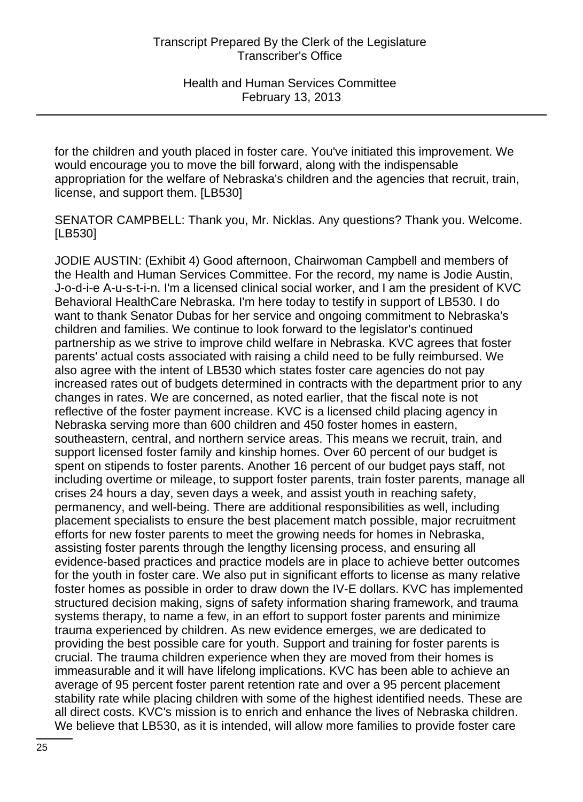for the children and youth placed in foster care. You've initiated this improvement. We would encourage you to move the bill forward, along with the indispensable appropriation for the welfare of Nebraska's children and the agencies that recruit, train, license, and support them. [LB530]

SENATOR CAMPBELL: Thank you, Mr. Nicklas. Any questions? Thank you. Welcome. [LB530]

JODIE AUSTIN: (Exhibit 4) Good afternoon, Chairwoman Campbell and members of the Health and Human Services Committee. For the record, my name is Jodie Austin, J-o-d-i-e A-u-s-t-i-n. I'm a licensed clinical social worker, and I am the president of KVC Behavioral HealthCare Nebraska. I'm here today to testify in support of LB530. I do want to thank Senator Dubas for her service and ongoing commitment to Nebraska's children and families. We continue to look forward to the legislator's continued partnership as we strive to improve child welfare in Nebraska. KVC agrees that foster parents' actual costs associated with raising a child need to be fully reimbursed. We also agree with the intent of LB530 which states foster care agencies do not pay increased rates out of budgets determined in contracts with the department prior to any changes in rates. We are concerned, as noted earlier, that the fiscal note is not reflective of the foster payment increase. KVC is a licensed child placing agency in Nebraska serving more than 600 children and 450 foster homes in eastern, southeastern, central, and northern service areas. This means we recruit, train, and support licensed foster family and kinship homes. Over 60 percent of our budget is spent on stipends to foster parents. Another 16 percent of our budget pays staff, not including overtime or mileage, to support foster parents, train foster parents, manage all crises 24 hours a day, seven days a week, and assist youth in reaching safety, permanency, and well-being. There are additional responsibilities as well, including placement specialists to ensure the best placement match possible, major recruitment efforts for new foster parents to meet the growing needs for homes in Nebraska, assisting foster parents through the lengthy licensing process, and ensuring all evidence-based practices and practice models are in place to achieve better outcomes for the youth in foster care. We also put in significant efforts to license as many relative foster homes as possible in order to draw down the IV-E dollars. KVC has implemented structured decision making, signs of safety information sharing framework, and trauma systems therapy, to name a few, in an effort to support foster parents and minimize trauma experienced by children. As new evidence emerges, we are dedicated to providing the best possible care for youth. Support and training for foster parents is crucial. The trauma children experience when they are moved from their homes is immeasurable and it will have lifelong implications. KVC has been able to achieve an average of 95 percent foster parent retention rate and over a 95 percent placement stability rate while placing children with some of the highest identified needs. These are all direct costs. KVC's mission is to enrich and enhance the lives of Nebraska children. We believe that LB530, as it is intended, will allow more families to provide foster care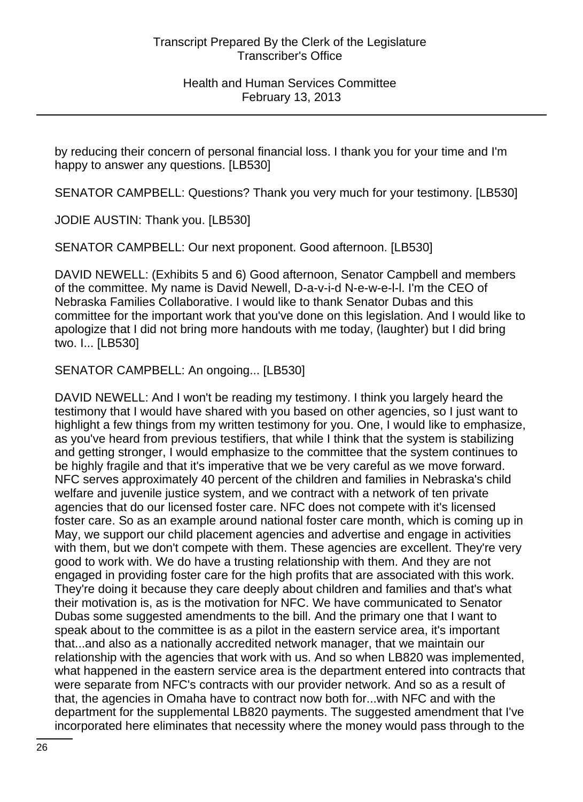by reducing their concern of personal financial loss. I thank you for your time and I'm happy to answer any questions. [LB530]

SENATOR CAMPBELL: Questions? Thank you very much for your testimony. [LB530]

JODIE AUSTIN: Thank you. [LB530]

SENATOR CAMPBELL: Our next proponent. Good afternoon. [LB530]

DAVID NEWELL: (Exhibits 5 and 6) Good afternoon, Senator Campbell and members of the committee. My name is David Newell, D-a-v-i-d N-e-w-e-l-l. I'm the CEO of Nebraska Families Collaborative. I would like to thank Senator Dubas and this committee for the important work that you've done on this legislation. And I would like to apologize that I did not bring more handouts with me today, (laughter) but I did bring two. I... [LB530]

SENATOR CAMPBELL: An ongoing... [LB530]

DAVID NEWELL: And I won't be reading my testimony. I think you largely heard the testimony that I would have shared with you based on other agencies, so I just want to highlight a few things from my written testimony for you. One, I would like to emphasize, as you've heard from previous testifiers, that while I think that the system is stabilizing and getting stronger, I would emphasize to the committee that the system continues to be highly fragile and that it's imperative that we be very careful as we move forward. NFC serves approximately 40 percent of the children and families in Nebraska's child welfare and juvenile justice system, and we contract with a network of ten private agencies that do our licensed foster care. NFC does not compete with it's licensed foster care. So as an example around national foster care month, which is coming up in May, we support our child placement agencies and advertise and engage in activities with them, but we don't compete with them. These agencies are excellent. They're very good to work with. We do have a trusting relationship with them. And they are not engaged in providing foster care for the high profits that are associated with this work. They're doing it because they care deeply about children and families and that's what their motivation is, as is the motivation for NFC. We have communicated to Senator Dubas some suggested amendments to the bill. And the primary one that I want to speak about to the committee is as a pilot in the eastern service area, it's important that...and also as a nationally accredited network manager, that we maintain our relationship with the agencies that work with us. And so when LB820 was implemented, what happened in the eastern service area is the department entered into contracts that were separate from NFC's contracts with our provider network. And so as a result of that, the agencies in Omaha have to contract now both for...with NFC and with the department for the supplemental LB820 payments. The suggested amendment that I've incorporated here eliminates that necessity where the money would pass through to the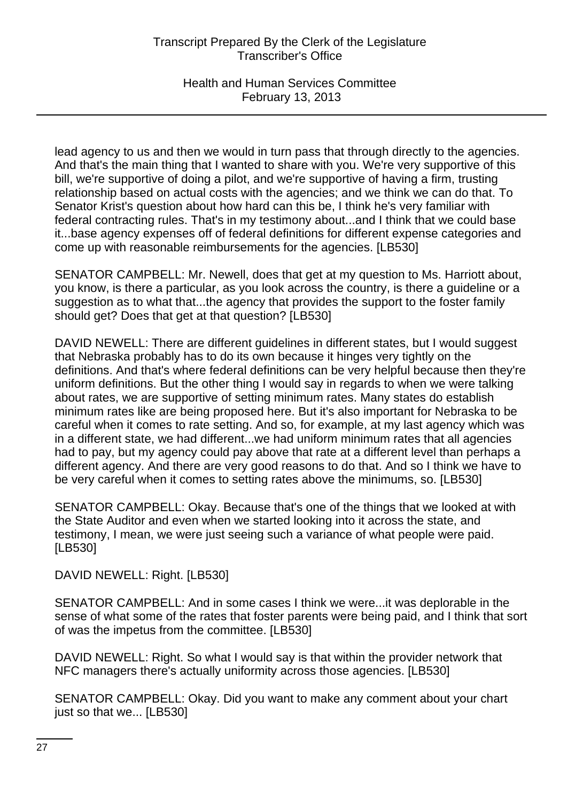Health and Human Services Committee February 13, 2013

lead agency to us and then we would in turn pass that through directly to the agencies. And that's the main thing that I wanted to share with you. We're very supportive of this bill, we're supportive of doing a pilot, and we're supportive of having a firm, trusting relationship based on actual costs with the agencies; and we think we can do that. To Senator Krist's question about how hard can this be, I think he's very familiar with federal contracting rules. That's in my testimony about...and I think that we could base it...base agency expenses off of federal definitions for different expense categories and come up with reasonable reimbursements for the agencies. [LB530]

SENATOR CAMPBELL: Mr. Newell, does that get at my question to Ms. Harriott about, you know, is there a particular, as you look across the country, is there a guideline or a suggestion as to what that...the agency that provides the support to the foster family should get? Does that get at that question? [LB530]

DAVID NEWELL: There are different guidelines in different states, but I would suggest that Nebraska probably has to do its own because it hinges very tightly on the definitions. And that's where federal definitions can be very helpful because then they're uniform definitions. But the other thing I would say in regards to when we were talking about rates, we are supportive of setting minimum rates. Many states do establish minimum rates like are being proposed here. But it's also important for Nebraska to be careful when it comes to rate setting. And so, for example, at my last agency which was in a different state, we had different...we had uniform minimum rates that all agencies had to pay, but my agency could pay above that rate at a different level than perhaps a different agency. And there are very good reasons to do that. And so I think we have to be very careful when it comes to setting rates above the minimums, so. [LB530]

SENATOR CAMPBELL: Okay. Because that's one of the things that we looked at with the State Auditor and even when we started looking into it across the state, and testimony, I mean, we were just seeing such a variance of what people were paid. [LB530]

DAVID NEWELL: Right. [LB530]

SENATOR CAMPBELL: And in some cases I think we were...it was deplorable in the sense of what some of the rates that foster parents were being paid, and I think that sort of was the impetus from the committee. [LB530]

DAVID NEWELL: Right. So what I would say is that within the provider network that NFC managers there's actually uniformity across those agencies. [LB530]

SENATOR CAMPBELL: Okay. Did you want to make any comment about your chart just so that we... [LB530]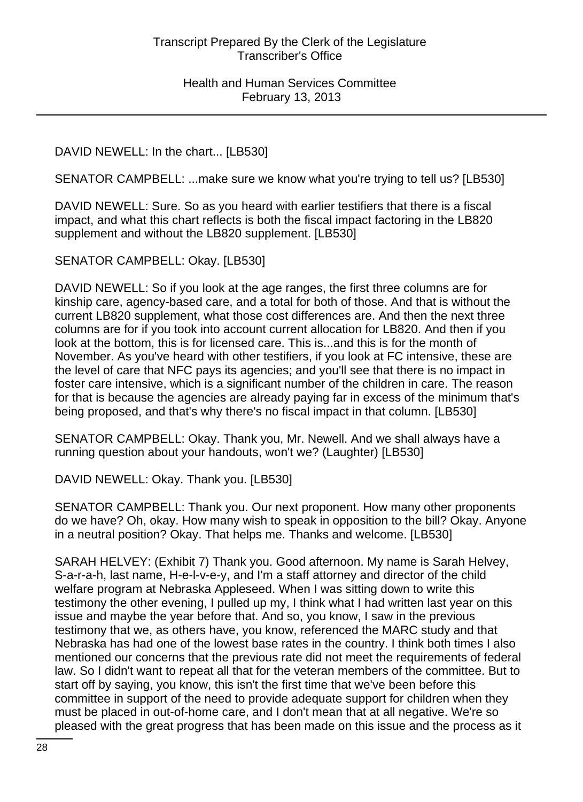DAVID NEWELL: In the chart... [LB530]

SENATOR CAMPBELL: ...make sure we know what you're trying to tell us? [LB530]

DAVID NEWELL: Sure. So as you heard with earlier testifiers that there is a fiscal impact, and what this chart reflects is both the fiscal impact factoring in the LB820 supplement and without the LB820 supplement. [LB530]

SENATOR CAMPBELL: Okay. [LB530]

DAVID NEWELL: So if you look at the age ranges, the first three columns are for kinship care, agency-based care, and a total for both of those. And that is without the current LB820 supplement, what those cost differences are. And then the next three columns are for if you took into account current allocation for LB820. And then if you look at the bottom, this is for licensed care. This is...and this is for the month of November. As you've heard with other testifiers, if you look at FC intensive, these are the level of care that NFC pays its agencies; and you'll see that there is no impact in foster care intensive, which is a significant number of the children in care. The reason for that is because the agencies are already paying far in excess of the minimum that's being proposed, and that's why there's no fiscal impact in that column. [LB530]

SENATOR CAMPBELL: Okay. Thank you, Mr. Newell. And we shall always have a running question about your handouts, won't we? (Laughter) [LB530]

DAVID NEWELL: Okay. Thank you. [LB530]

SENATOR CAMPBELL: Thank you. Our next proponent. How many other proponents do we have? Oh, okay. How many wish to speak in opposition to the bill? Okay. Anyone in a neutral position? Okay. That helps me. Thanks and welcome. [LB530]

SARAH HELVEY: (Exhibit 7) Thank you. Good afternoon. My name is Sarah Helvey, S-a-r-a-h, last name, H-e-l-v-e-y, and I'm a staff attorney and director of the child welfare program at Nebraska Appleseed. When I was sitting down to write this testimony the other evening, I pulled up my, I think what I had written last year on this issue and maybe the year before that. And so, you know, I saw in the previous testimony that we, as others have, you know, referenced the MARC study and that Nebraska has had one of the lowest base rates in the country. I think both times I also mentioned our concerns that the previous rate did not meet the requirements of federal law. So I didn't want to repeat all that for the veteran members of the committee. But to start off by saying, you know, this isn't the first time that we've been before this committee in support of the need to provide adequate support for children when they must be placed in out-of-home care, and I don't mean that at all negative. We're so pleased with the great progress that has been made on this issue and the process as it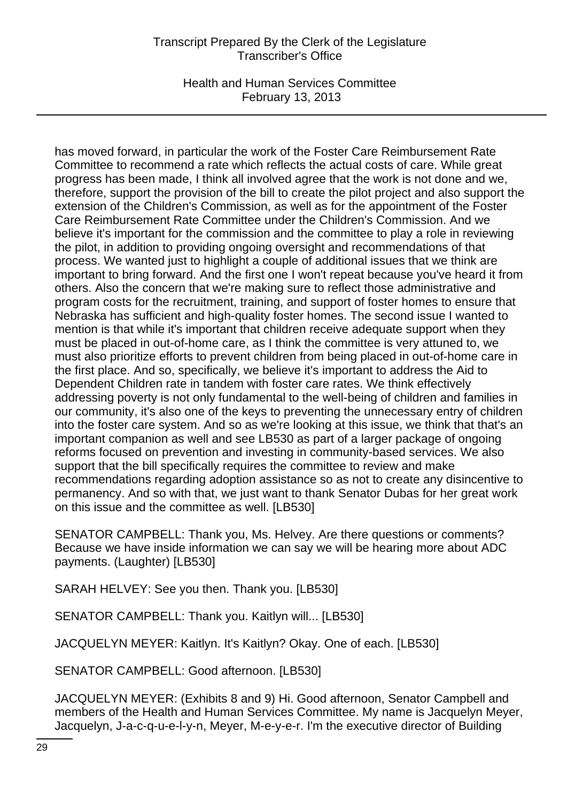Health and Human Services Committee February 13, 2013

has moved forward, in particular the work of the Foster Care Reimbursement Rate Committee to recommend a rate which reflects the actual costs of care. While great progress has been made, I think all involved agree that the work is not done and we, therefore, support the provision of the bill to create the pilot project and also support the extension of the Children's Commission, as well as for the appointment of the Foster Care Reimbursement Rate Committee under the Children's Commission. And we believe it's important for the commission and the committee to play a role in reviewing the pilot, in addition to providing ongoing oversight and recommendations of that process. We wanted just to highlight a couple of additional issues that we think are important to bring forward. And the first one I won't repeat because you've heard it from others. Also the concern that we're making sure to reflect those administrative and program costs for the recruitment, training, and support of foster homes to ensure that Nebraska has sufficient and high-quality foster homes. The second issue I wanted to mention is that while it's important that children receive adequate support when they must be placed in out-of-home care, as I think the committee is very attuned to, we must also prioritize efforts to prevent children from being placed in out-of-home care in the first place. And so, specifically, we believe it's important to address the Aid to Dependent Children rate in tandem with foster care rates. We think effectively addressing poverty is not only fundamental to the well-being of children and families in our community, it's also one of the keys to preventing the unnecessary entry of children into the foster care system. And so as we're looking at this issue, we think that that's an important companion as well and see LB530 as part of a larger package of ongoing reforms focused on prevention and investing in community-based services. We also support that the bill specifically requires the committee to review and make recommendations regarding adoption assistance so as not to create any disincentive to permanency. And so with that, we just want to thank Senator Dubas for her great work on this issue and the committee as well. [LB530]

SENATOR CAMPBELL: Thank you, Ms. Helvey. Are there questions or comments? Because we have inside information we can say we will be hearing more about ADC payments. (Laughter) [LB530]

SARAH HELVEY: See you then. Thank you. [LB530]

SENATOR CAMPBELL: Thank you. Kaitlyn will... [LB530]

JACQUELYN MEYER: Kaitlyn. It's Kaitlyn? Okay. One of each. [LB530]

SENATOR CAMPBELL: Good afternoon. [LB530]

JACQUELYN MEYER: (Exhibits 8 and 9) Hi. Good afternoon, Senator Campbell and members of the Health and Human Services Committee. My name is Jacquelyn Meyer, Jacquelyn, J-a-c-q-u-e-l-y-n, Meyer, M-e-y-e-r. I'm the executive director of Building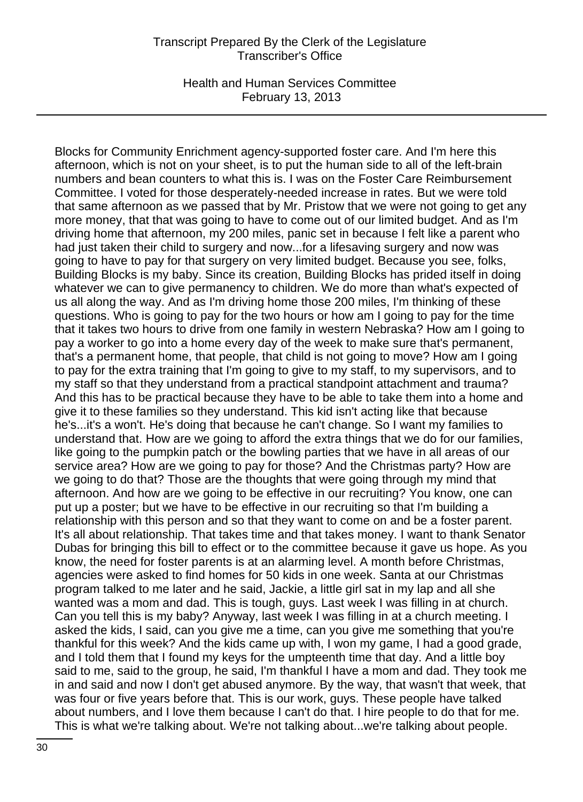Health and Human Services Committee February 13, 2013

Blocks for Community Enrichment agency-supported foster care. And I'm here this afternoon, which is not on your sheet, is to put the human side to all of the left-brain numbers and bean counters to what this is. I was on the Foster Care Reimbursement Committee. I voted for those desperately-needed increase in rates. But we were told that same afternoon as we passed that by Mr. Pristow that we were not going to get any more money, that that was going to have to come out of our limited budget. And as I'm driving home that afternoon, my 200 miles, panic set in because I felt like a parent who had just taken their child to surgery and now...for a lifesaving surgery and now was going to have to pay for that surgery on very limited budget. Because you see, folks, Building Blocks is my baby. Since its creation, Building Blocks has prided itself in doing whatever we can to give permanency to children. We do more than what's expected of us all along the way. And as I'm driving home those 200 miles, I'm thinking of these questions. Who is going to pay for the two hours or how am I going to pay for the time that it takes two hours to drive from one family in western Nebraska? How am I going to pay a worker to go into a home every day of the week to make sure that's permanent, that's a permanent home, that people, that child is not going to move? How am I going to pay for the extra training that I'm going to give to my staff, to my supervisors, and to my staff so that they understand from a practical standpoint attachment and trauma? And this has to be practical because they have to be able to take them into a home and give it to these families so they understand. This kid isn't acting like that because he's...it's a won't. He's doing that because he can't change. So I want my families to understand that. How are we going to afford the extra things that we do for our families, like going to the pumpkin patch or the bowling parties that we have in all areas of our service area? How are we going to pay for those? And the Christmas party? How are we going to do that? Those are the thoughts that were going through my mind that afternoon. And how are we going to be effective in our recruiting? You know, one can put up a poster; but we have to be effective in our recruiting so that I'm building a relationship with this person and so that they want to come on and be a foster parent. It's all about relationship. That takes time and that takes money. I want to thank Senator Dubas for bringing this bill to effect or to the committee because it gave us hope. As you know, the need for foster parents is at an alarming level. A month before Christmas, agencies were asked to find homes for 50 kids in one week. Santa at our Christmas program talked to me later and he said, Jackie, a little girl sat in my lap and all she wanted was a mom and dad. This is tough, guys. Last week I was filling in at church. Can you tell this is my baby? Anyway, last week I was filling in at a church meeting. I asked the kids, I said, can you give me a time, can you give me something that you're thankful for this week? And the kids came up with, I won my game, I had a good grade, and I told them that I found my keys for the umpteenth time that day. And a little boy said to me, said to the group, he said, I'm thankful I have a mom and dad. They took me in and said and now I don't get abused anymore. By the way, that wasn't that week, that was four or five years before that. This is our work, guys. These people have talked about numbers, and I love them because I can't do that. I hire people to do that for me. This is what we're talking about. We're not talking about...we're talking about people.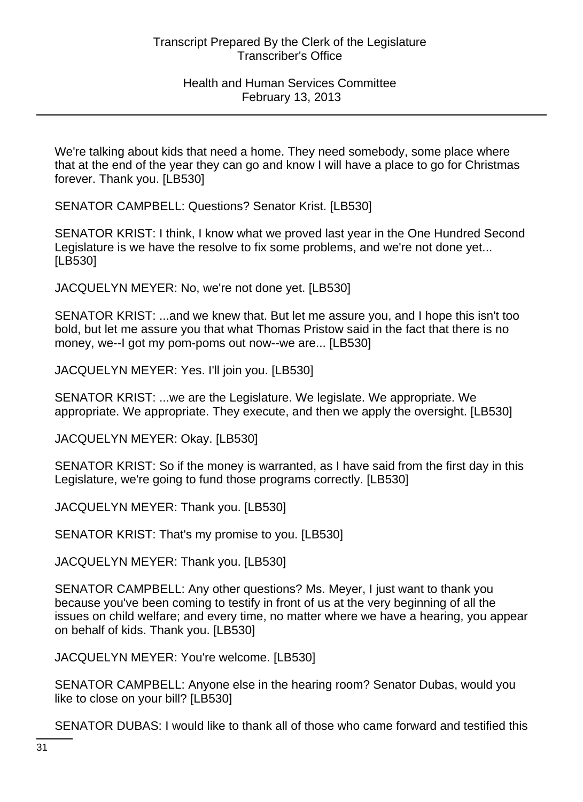We're talking about kids that need a home. They need somebody, some place where that at the end of the year they can go and know I will have a place to go for Christmas forever. Thank you. [LB530]

SENATOR CAMPBELL: Questions? Senator Krist. [LB530]

SENATOR KRIST: I think, I know what we proved last year in the One Hundred Second Legislature is we have the resolve to fix some problems, and we're not done yet... [LB530]

JACQUELYN MEYER: No, we're not done yet. [LB530]

SENATOR KRIST: ...and we knew that. But let me assure you, and I hope this isn't too bold, but let me assure you that what Thomas Pristow said in the fact that there is no money, we--I got my pom-poms out now--we are... [LB530]

JACQUELYN MEYER: Yes. I'll join you. [LB530]

SENATOR KRIST: ...we are the Legislature. We legislate. We appropriate. We appropriate. We appropriate. They execute, and then we apply the oversight. [LB530]

JACQUELYN MEYER: Okay. [LB530]

SENATOR KRIST: So if the money is warranted, as I have said from the first day in this Legislature, we're going to fund those programs correctly. [LB530]

JACQUELYN MEYER: Thank you. [LB530]

SENATOR KRIST: That's my promise to you. [LB530]

JACQUELYN MEYER: Thank you. [LB530]

SENATOR CAMPBELL: Any other questions? Ms. Meyer, I just want to thank you because you've been coming to testify in front of us at the very beginning of all the issues on child welfare; and every time, no matter where we have a hearing, you appear on behalf of kids. Thank you. [LB530]

JACQUELYN MEYER: You're welcome. [LB530]

SENATOR CAMPBELL: Anyone else in the hearing room? Senator Dubas, would you like to close on your bill? [LB530]

SENATOR DUBAS: I would like to thank all of those who came forward and testified this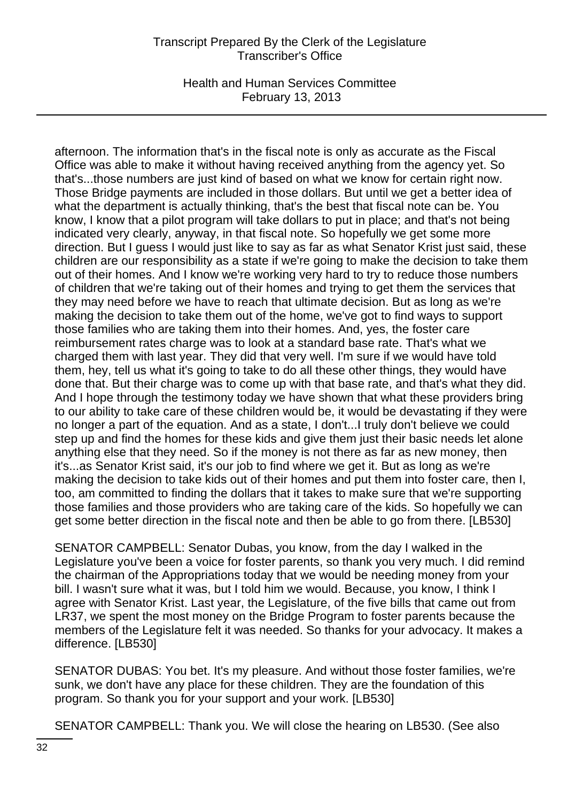Health and Human Services Committee February 13, 2013

afternoon. The information that's in the fiscal note is only as accurate as the Fiscal Office was able to make it without having received anything from the agency yet. So that's...those numbers are just kind of based on what we know for certain right now. Those Bridge payments are included in those dollars. But until we get a better idea of what the department is actually thinking, that's the best that fiscal note can be. You know, I know that a pilot program will take dollars to put in place; and that's not being indicated very clearly, anyway, in that fiscal note. So hopefully we get some more direction. But I guess I would just like to say as far as what Senator Krist just said, these children are our responsibility as a state if we're going to make the decision to take them out of their homes. And I know we're working very hard to try to reduce those numbers of children that we're taking out of their homes and trying to get them the services that they may need before we have to reach that ultimate decision. But as long as we're making the decision to take them out of the home, we've got to find ways to support those families who are taking them into their homes. And, yes, the foster care reimbursement rates charge was to look at a standard base rate. That's what we charged them with last year. They did that very well. I'm sure if we would have told them, hey, tell us what it's going to take to do all these other things, they would have done that. But their charge was to come up with that base rate, and that's what they did. And I hope through the testimony today we have shown that what these providers bring to our ability to take care of these children would be, it would be devastating if they were no longer a part of the equation. And as a state, I don't...I truly don't believe we could step up and find the homes for these kids and give them just their basic needs let alone anything else that they need. So if the money is not there as far as new money, then it's...as Senator Krist said, it's our job to find where we get it. But as long as we're making the decision to take kids out of their homes and put them into foster care, then I, too, am committed to finding the dollars that it takes to make sure that we're supporting those families and those providers who are taking care of the kids. So hopefully we can get some better direction in the fiscal note and then be able to go from there. [LB530]

SENATOR CAMPBELL: Senator Dubas, you know, from the day I walked in the Legislature you've been a voice for foster parents, so thank you very much. I did remind the chairman of the Appropriations today that we would be needing money from your bill. I wasn't sure what it was, but I told him we would. Because, you know, I think I agree with Senator Krist. Last year, the Legislature, of the five bills that came out from LR37, we spent the most money on the Bridge Program to foster parents because the members of the Legislature felt it was needed. So thanks for your advocacy. It makes a difference. [LB530]

SENATOR DUBAS: You bet. It's my pleasure. And without those foster families, we're sunk, we don't have any place for these children. They are the foundation of this program. So thank you for your support and your work. [LB530]

SENATOR CAMPBELL: Thank you. We will close the hearing on LB530. (See also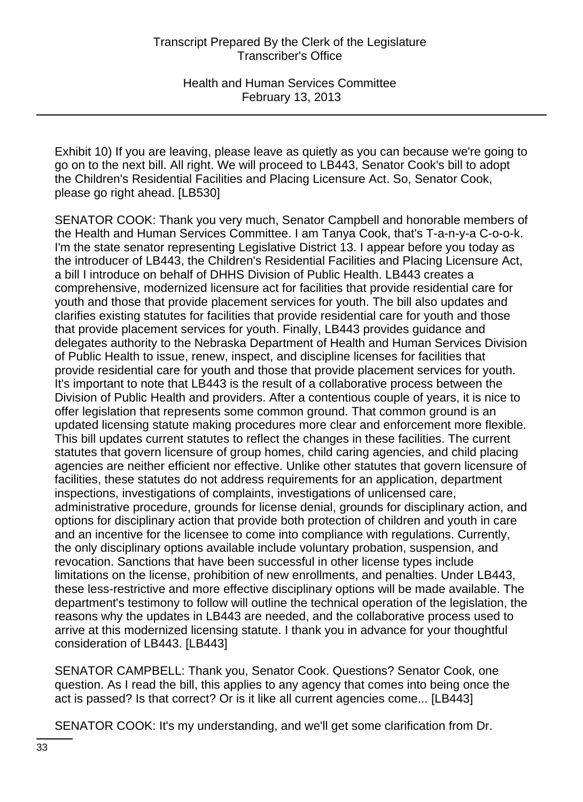Exhibit 10) If you are leaving, please leave as quietly as you can because we're going to go on to the next bill. All right. We will proceed to LB443, Senator Cook's bill to adopt the Children's Residential Facilities and Placing Licensure Act. So, Senator Cook, please go right ahead. [LB530]

SENATOR COOK: Thank you very much, Senator Campbell and honorable members of the Health and Human Services Committee. I am Tanya Cook, that's T-a-n-y-a C-o-o-k. I'm the state senator representing Legislative District 13. I appear before you today as the introducer of LB443, the Children's Residential Facilities and Placing Licensure Act, a bill I introduce on behalf of DHHS Division of Public Health. LB443 creates a comprehensive, modernized licensure act for facilities that provide residential care for youth and those that provide placement services for youth. The bill also updates and clarifies existing statutes for facilities that provide residential care for youth and those that provide placement services for youth. Finally, LB443 provides guidance and delegates authority to the Nebraska Department of Health and Human Services Division of Public Health to issue, renew, inspect, and discipline licenses for facilities that provide residential care for youth and those that provide placement services for youth. It's important to note that LB443 is the result of a collaborative process between the Division of Public Health and providers. After a contentious couple of years, it is nice to offer legislation that represents some common ground. That common ground is an updated licensing statute making procedures more clear and enforcement more flexible. This bill updates current statutes to reflect the changes in these facilities. The current statutes that govern licensure of group homes, child caring agencies, and child placing agencies are neither efficient nor effective. Unlike other statutes that govern licensure of facilities, these statutes do not address requirements for an application, department inspections, investigations of complaints, investigations of unlicensed care, administrative procedure, grounds for license denial, grounds for disciplinary action, and options for disciplinary action that provide both protection of children and youth in care and an incentive for the licensee to come into compliance with regulations. Currently, the only disciplinary options available include voluntary probation, suspension, and revocation. Sanctions that have been successful in other license types include limitations on the license, prohibition of new enrollments, and penalties. Under LB443, these less-restrictive and more effective disciplinary options will be made available. The department's testimony to follow will outline the technical operation of the legislation, the reasons why the updates in LB443 are needed, and the collaborative process used to arrive at this modernized licensing statute. I thank you in advance for your thoughtful consideration of LB443. [LB443]

SENATOR CAMPBELL: Thank you, Senator Cook. Questions? Senator Cook, one question. As I read the bill, this applies to any agency that comes into being once the act is passed? Is that correct? Or is it like all current agencies come... [LB443]

SENATOR COOK: It's my understanding, and we'll get some clarification from Dr.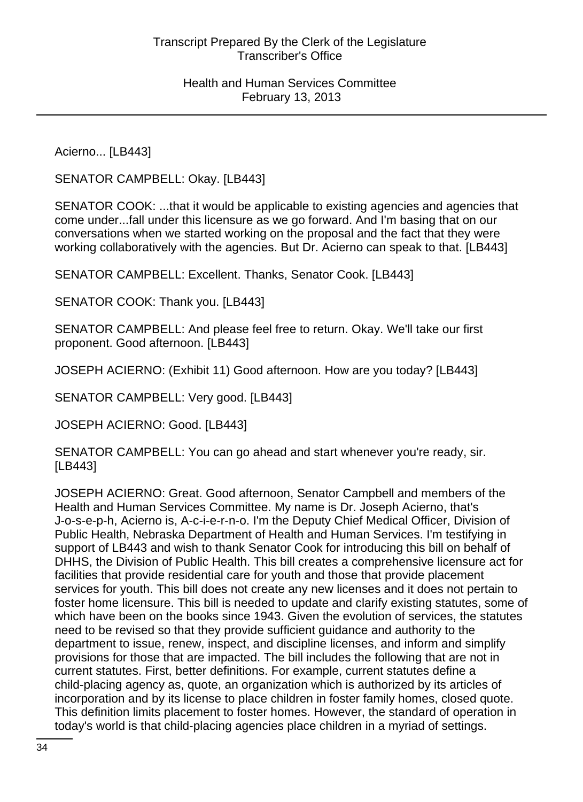Acierno... [LB443]

SENATOR CAMPBELL: Okay. [LB443]

SENATOR COOK: ...that it would be applicable to existing agencies and agencies that come under...fall under this licensure as we go forward. And I'm basing that on our conversations when we started working on the proposal and the fact that they were working collaboratively with the agencies. But Dr. Acierno can speak to that. [LB443]

SENATOR CAMPBELL: Excellent. Thanks, Senator Cook. [LB443]

SENATOR COOK: Thank you. [LB443]

SENATOR CAMPBELL: And please feel free to return. Okay. We'll take our first proponent. Good afternoon. [LB443]

JOSEPH ACIERNO: (Exhibit 11) Good afternoon. How are you today? [LB443]

SENATOR CAMPBELL: Very good. [LB443]

JOSEPH ACIERNO: Good. [LB443]

SENATOR CAMPBELL: You can go ahead and start whenever you're ready, sir. [LB443]

JOSEPH ACIERNO: Great. Good afternoon, Senator Campbell and members of the Health and Human Services Committee. My name is Dr. Joseph Acierno, that's J-o-s-e-p-h, Acierno is, A-c-i-e-r-n-o. I'm the Deputy Chief Medical Officer, Division of Public Health, Nebraska Department of Health and Human Services. I'm testifying in support of LB443 and wish to thank Senator Cook for introducing this bill on behalf of DHHS, the Division of Public Health. This bill creates a comprehensive licensure act for facilities that provide residential care for youth and those that provide placement services for youth. This bill does not create any new licenses and it does not pertain to foster home licensure. This bill is needed to update and clarify existing statutes, some of which have been on the books since 1943. Given the evolution of services, the statutes need to be revised so that they provide sufficient guidance and authority to the department to issue, renew, inspect, and discipline licenses, and inform and simplify provisions for those that are impacted. The bill includes the following that are not in current statutes. First, better definitions. For example, current statutes define a child-placing agency as, quote, an organization which is authorized by its articles of incorporation and by its license to place children in foster family homes, closed quote. This definition limits placement to foster homes. However, the standard of operation in today's world is that child-placing agencies place children in a myriad of settings.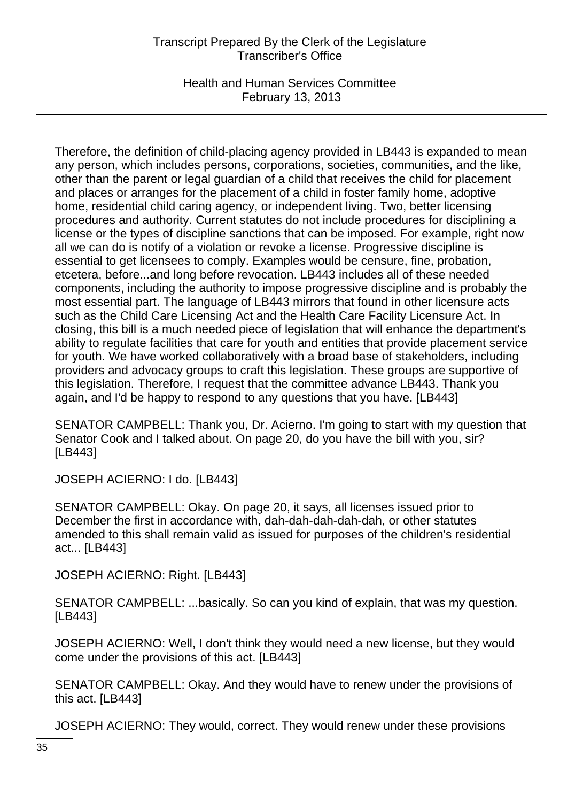Health and Human Services Committee February 13, 2013

Therefore, the definition of child-placing agency provided in LB443 is expanded to mean any person, which includes persons, corporations, societies, communities, and the like, other than the parent or legal guardian of a child that receives the child for placement and places or arranges for the placement of a child in foster family home, adoptive home, residential child caring agency, or independent living. Two, better licensing procedures and authority. Current statutes do not include procedures for disciplining a license or the types of discipline sanctions that can be imposed. For example, right now all we can do is notify of a violation or revoke a license. Progressive discipline is essential to get licensees to comply. Examples would be censure, fine, probation, etcetera, before...and long before revocation. LB443 includes all of these needed components, including the authority to impose progressive discipline and is probably the most essential part. The language of LB443 mirrors that found in other licensure acts such as the Child Care Licensing Act and the Health Care Facility Licensure Act. In closing, this bill is a much needed piece of legislation that will enhance the department's ability to regulate facilities that care for youth and entities that provide placement service for youth. We have worked collaboratively with a broad base of stakeholders, including providers and advocacy groups to craft this legislation. These groups are supportive of this legislation. Therefore, I request that the committee advance LB443. Thank you again, and I'd be happy to respond to any questions that you have. [LB443]

SENATOR CAMPBELL: Thank you, Dr. Acierno. I'm going to start with my question that Senator Cook and I talked about. On page 20, do you have the bill with you, sir? [LB443]

JOSEPH ACIERNO: I do. [LB443]

SENATOR CAMPBELL: Okay. On page 20, it says, all licenses issued prior to December the first in accordance with, dah-dah-dah-dah-dah, or other statutes amended to this shall remain valid as issued for purposes of the children's residential act... [LB443]

JOSEPH ACIERNO: Right. [LB443]

SENATOR CAMPBELL: ...basically. So can you kind of explain, that was my question. [LB443]

JOSEPH ACIERNO: Well, I don't think they would need a new license, but they would come under the provisions of this act. [LB443]

SENATOR CAMPBELL: Okay. And they would have to renew under the provisions of this act. [LB443]

JOSEPH ACIERNO: They would, correct. They would renew under these provisions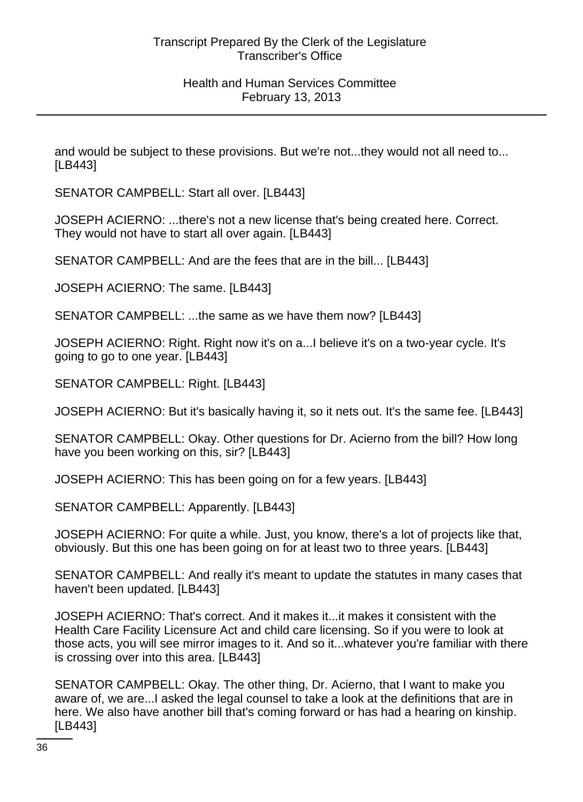and would be subject to these provisions. But we're not...they would not all need to... [LB443]

SENATOR CAMPBELL: Start all over. [LB443]

JOSEPH ACIERNO: ...there's not a new license that's being created here. Correct. They would not have to start all over again. [LB443]

SENATOR CAMPBELL: And are the fees that are in the bill... [LB443]

JOSEPH ACIERNO: The same. [LB443]

SENATOR CAMPBELL: ...the same as we have them now? [LB443]

JOSEPH ACIERNO: Right. Right now it's on a...I believe it's on a two-year cycle. It's going to go to one year. [LB443]

SENATOR CAMPBELL: Right. [LB443]

JOSEPH ACIERNO: But it's basically having it, so it nets out. It's the same fee. [LB443]

SENATOR CAMPBELL: Okay. Other questions for Dr. Acierno from the bill? How long have you been working on this, sir? [LB443]

JOSEPH ACIERNO: This has been going on for a few years. [LB443]

SENATOR CAMPBELL: Apparently. [LB443]

JOSEPH ACIERNO: For quite a while. Just, you know, there's a lot of projects like that, obviously. But this one has been going on for at least two to three years. [LB443]

SENATOR CAMPBELL: And really it's meant to update the statutes in many cases that haven't been updated. [LB443]

JOSEPH ACIERNO: That's correct. And it makes it...it makes it consistent with the Health Care Facility Licensure Act and child care licensing. So if you were to look at those acts, you will see mirror images to it. And so it...whatever you're familiar with there is crossing over into this area. [LB443]

SENATOR CAMPBELL: Okay. The other thing, Dr. Acierno, that I want to make you aware of, we are...I asked the legal counsel to take a look at the definitions that are in here. We also have another bill that's coming forward or has had a hearing on kinship. [LB443]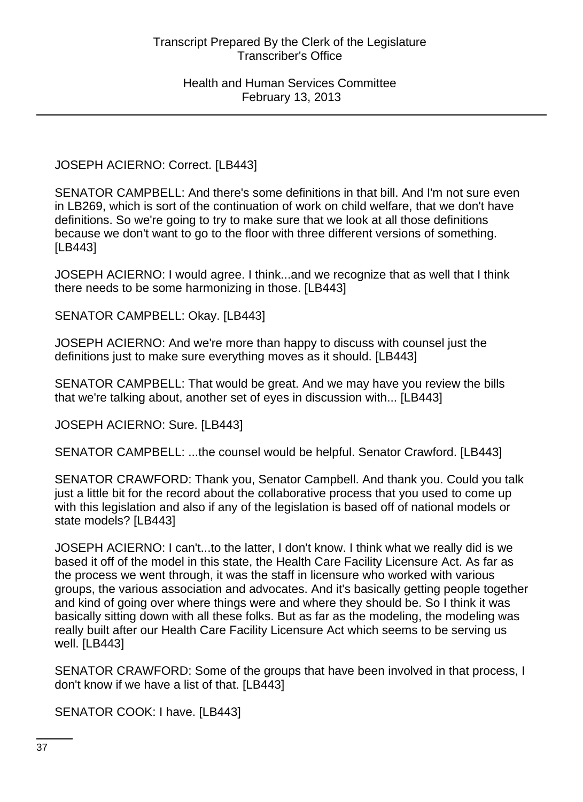JOSEPH ACIERNO: Correct. [LB443]

SENATOR CAMPBELL: And there's some definitions in that bill. And I'm not sure even in LB269, which is sort of the continuation of work on child welfare, that we don't have definitions. So we're going to try to make sure that we look at all those definitions because we don't want to go to the floor with three different versions of something. [LB443]

JOSEPH ACIERNO: I would agree. I think...and we recognize that as well that I think there needs to be some harmonizing in those. [LB443]

SENATOR CAMPBELL: Okay. [LB443]

JOSEPH ACIERNO: And we're more than happy to discuss with counsel just the definitions just to make sure everything moves as it should. [LB443]

SENATOR CAMPBELL: That would be great. And we may have you review the bills that we're talking about, another set of eyes in discussion with... [LB443]

JOSEPH ACIERNO: Sure. [LB443]

SENATOR CAMPBELL: ...the counsel would be helpful. Senator Crawford. [LB443]

SENATOR CRAWFORD: Thank you, Senator Campbell. And thank you. Could you talk just a little bit for the record about the collaborative process that you used to come up with this legislation and also if any of the legislation is based off of national models or state models? [LB443]

JOSEPH ACIERNO: I can't...to the latter, I don't know. I think what we really did is we based it off of the model in this state, the Health Care Facility Licensure Act. As far as the process we went through, it was the staff in licensure who worked with various groups, the various association and advocates. And it's basically getting people together and kind of going over where things were and where they should be. So I think it was basically sitting down with all these folks. But as far as the modeling, the modeling was really built after our Health Care Facility Licensure Act which seems to be serving us well. [LB443]

SENATOR CRAWFORD: Some of the groups that have been involved in that process, I don't know if we have a list of that. [LB443]

SENATOR COOK: I have. [LB443]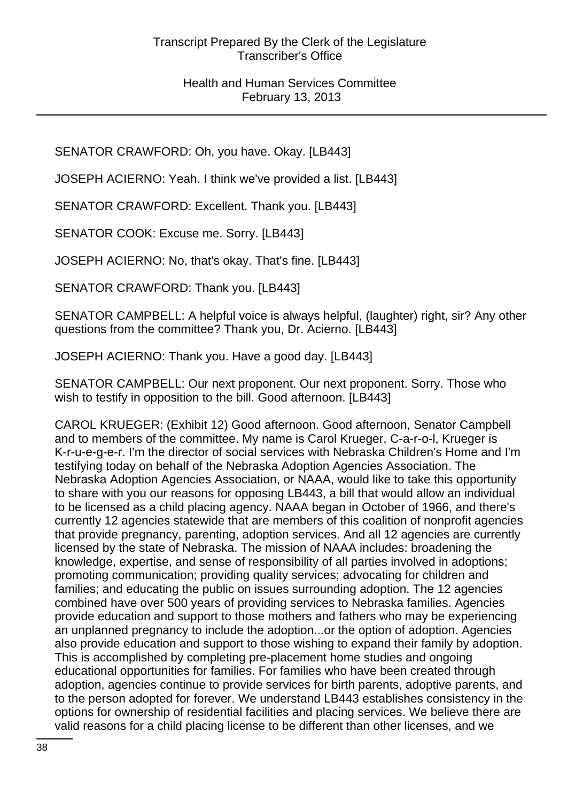SENATOR CRAWFORD: Oh, you have. Okay. [LB443]

JOSEPH ACIERNO: Yeah. I think we've provided a list. [LB443]

SENATOR CRAWFORD: Excellent. Thank you. [LB443]

SENATOR COOK: Excuse me. Sorry. [LB443]

JOSEPH ACIERNO: No, that's okay. That's fine. [LB443]

SENATOR CRAWFORD: Thank you. [LB443]

SENATOR CAMPBELL: A helpful voice is always helpful, (laughter) right, sir? Any other questions from the committee? Thank you, Dr. Acierno. [LB443]

JOSEPH ACIERNO: Thank you. Have a good day. [LB443]

SENATOR CAMPBELL: Our next proponent. Our next proponent. Sorry. Those who wish to testify in opposition to the bill. Good afternoon. [LB443]

CAROL KRUEGER: (Exhibit 12) Good afternoon. Good afternoon, Senator Campbell and to members of the committee. My name is Carol Krueger, C-a-r-o-l, Krueger is K-r-u-e-g-e-r. I'm the director of social services with Nebraska Children's Home and I'm testifying today on behalf of the Nebraska Adoption Agencies Association. The Nebraska Adoption Agencies Association, or NAAA, would like to take this opportunity to share with you our reasons for opposing LB443, a bill that would allow an individual to be licensed as a child placing agency. NAAA began in October of 1966, and there's currently 12 agencies statewide that are members of this coalition of nonprofit agencies that provide pregnancy, parenting, adoption services. And all 12 agencies are currently licensed by the state of Nebraska. The mission of NAAA includes: broadening the knowledge, expertise, and sense of responsibility of all parties involved in adoptions; promoting communication; providing quality services; advocating for children and families; and educating the public on issues surrounding adoption. The 12 agencies combined have over 500 years of providing services to Nebraska families. Agencies provide education and support to those mothers and fathers who may be experiencing an unplanned pregnancy to include the adoption...or the option of adoption. Agencies also provide education and support to those wishing to expand their family by adoption. This is accomplished by completing pre-placement home studies and ongoing educational opportunities for families. For families who have been created through adoption, agencies continue to provide services for birth parents, adoptive parents, and to the person adopted for forever. We understand LB443 establishes consistency in the options for ownership of residential facilities and placing services. We believe there are valid reasons for a child placing license to be different than other licenses, and we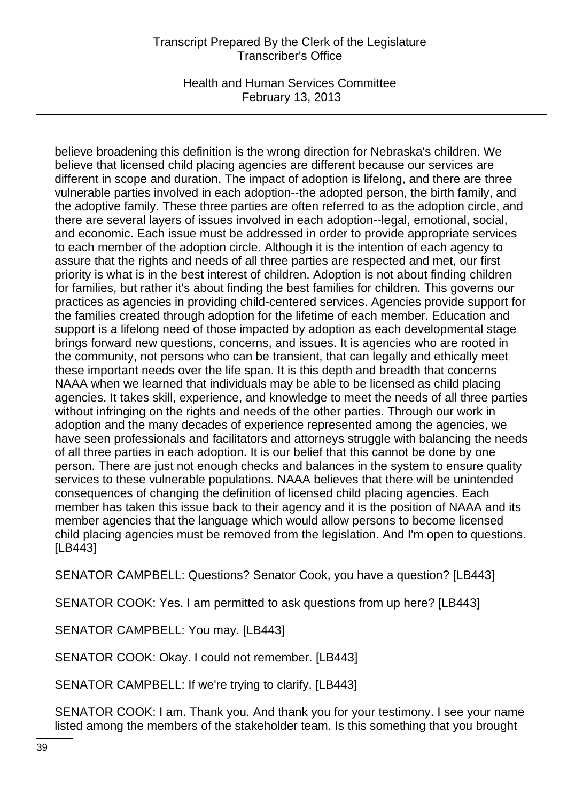Health and Human Services Committee February 13, 2013

believe broadening this definition is the wrong direction for Nebraska's children. We believe that licensed child placing agencies are different because our services are different in scope and duration. The impact of adoption is lifelong, and there are three vulnerable parties involved in each adoption--the adopted person, the birth family, and the adoptive family. These three parties are often referred to as the adoption circle, and there are several layers of issues involved in each adoption--legal, emotional, social, and economic. Each issue must be addressed in order to provide appropriate services to each member of the adoption circle. Although it is the intention of each agency to assure that the rights and needs of all three parties are respected and met, our first priority is what is in the best interest of children. Adoption is not about finding children for families, but rather it's about finding the best families for children. This governs our practices as agencies in providing child-centered services. Agencies provide support for the families created through adoption for the lifetime of each member. Education and support is a lifelong need of those impacted by adoption as each developmental stage brings forward new questions, concerns, and issues. It is agencies who are rooted in the community, not persons who can be transient, that can legally and ethically meet these important needs over the life span. It is this depth and breadth that concerns NAAA when we learned that individuals may be able to be licensed as child placing agencies. It takes skill, experience, and knowledge to meet the needs of all three parties without infringing on the rights and needs of the other parties. Through our work in adoption and the many decades of experience represented among the agencies, we have seen professionals and facilitators and attorneys struggle with balancing the needs of all three parties in each adoption. It is our belief that this cannot be done by one person. There are just not enough checks and balances in the system to ensure quality services to these vulnerable populations. NAAA believes that there will be unintended consequences of changing the definition of licensed child placing agencies. Each member has taken this issue back to their agency and it is the position of NAAA and its member agencies that the language which would allow persons to become licensed child placing agencies must be removed from the legislation. And I'm open to questions. [LB443]

SENATOR CAMPBELL: Questions? Senator Cook, you have a question? [LB443]

SENATOR COOK: Yes. I am permitted to ask questions from up here? [LB443]

SENATOR CAMPBELL: You may. [LB443]

SENATOR COOK: Okay. I could not remember. [LB443]

SENATOR CAMPBELL: If we're trying to clarify. [LB443]

SENATOR COOK: I am. Thank you. And thank you for your testimony. I see your name listed among the members of the stakeholder team. Is this something that you brought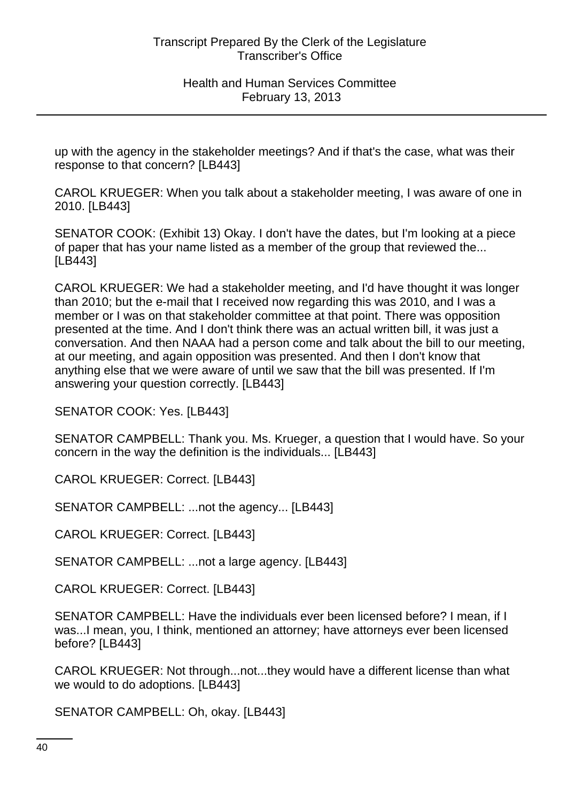up with the agency in the stakeholder meetings? And if that's the case, what was their response to that concern? [LB443]

CAROL KRUEGER: When you talk about a stakeholder meeting, I was aware of one in 2010. [LB443]

SENATOR COOK: (Exhibit 13) Okay. I don't have the dates, but I'm looking at a piece of paper that has your name listed as a member of the group that reviewed the... [LB443]

CAROL KRUEGER: We had a stakeholder meeting, and I'd have thought it was longer than 2010; but the e-mail that I received now regarding this was 2010, and I was a member or I was on that stakeholder committee at that point. There was opposition presented at the time. And I don't think there was an actual written bill, it was just a conversation. And then NAAA had a person come and talk about the bill to our meeting, at our meeting, and again opposition was presented. And then I don't know that anything else that we were aware of until we saw that the bill was presented. If I'm answering your question correctly. [LB443]

SENATOR COOK: Yes. [LB443]

SENATOR CAMPBELL: Thank you. Ms. Krueger, a question that I would have. So your concern in the way the definition is the individuals... [LB443]

CAROL KRUEGER: Correct. [LB443]

SENATOR CAMPBELL: ...not the agency... [LB443]

CAROL KRUEGER: Correct. [LB443]

SENATOR CAMPBELL: ...not a large agency. [LB443]

CAROL KRUEGER: Correct. [LB443]

SENATOR CAMPBELL: Have the individuals ever been licensed before? I mean, if I was...I mean, you, I think, mentioned an attorney; have attorneys ever been licensed before? [LB443]

CAROL KRUEGER: Not through...not...they would have a different license than what we would to do adoptions. [LB443]

SENATOR CAMPBELL: Oh, okay. [LB443]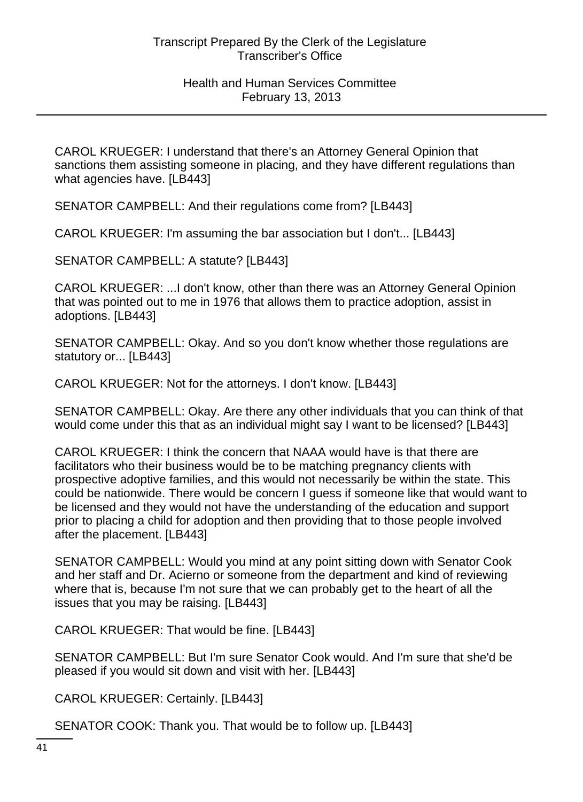CAROL KRUEGER: I understand that there's an Attorney General Opinion that sanctions them assisting someone in placing, and they have different regulations than what agencies have. [LB443]

SENATOR CAMPBELL: And their regulations come from? [LB443]

CAROL KRUEGER: I'm assuming the bar association but I don't... [LB443]

SENATOR CAMPBELL: A statute? [LB443]

CAROL KRUEGER: ...I don't know, other than there was an Attorney General Opinion that was pointed out to me in 1976 that allows them to practice adoption, assist in adoptions. [LB443]

SENATOR CAMPBELL: Okay. And so you don't know whether those regulations are statutory or... [LB443]

CAROL KRUEGER: Not for the attorneys. I don't know. [LB443]

SENATOR CAMPBELL: Okay. Are there any other individuals that you can think of that would come under this that as an individual might say I want to be licensed? [LB443]

CAROL KRUEGER: I think the concern that NAAA would have is that there are facilitators who their business would be to be matching pregnancy clients with prospective adoptive families, and this would not necessarily be within the state. This could be nationwide. There would be concern I guess if someone like that would want to be licensed and they would not have the understanding of the education and support prior to placing a child for adoption and then providing that to those people involved after the placement. [LB443]

SENATOR CAMPBELL: Would you mind at any point sitting down with Senator Cook and her staff and Dr. Acierno or someone from the department and kind of reviewing where that is, because I'm not sure that we can probably get to the heart of all the issues that you may be raising. [LB443]

CAROL KRUEGER: That would be fine. [LB443]

SENATOR CAMPBELL: But I'm sure Senator Cook would. And I'm sure that she'd be pleased if you would sit down and visit with her. [LB443]

CAROL KRUEGER: Certainly. [LB443]

SENATOR COOK: Thank you. That would be to follow up. [LB443]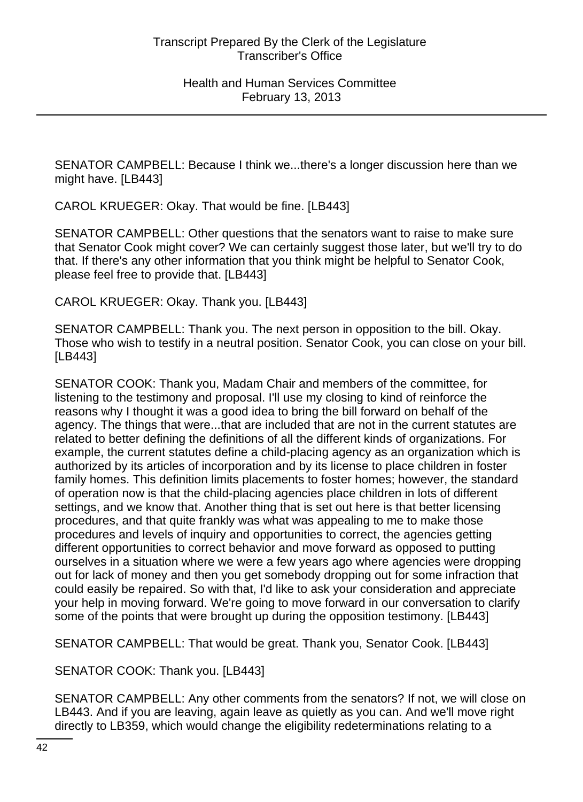SENATOR CAMPBELL: Because I think we...there's a longer discussion here than we might have. [LB443]

CAROL KRUEGER: Okay. That would be fine. [LB443]

SENATOR CAMPBELL: Other questions that the senators want to raise to make sure that Senator Cook might cover? We can certainly suggest those later, but we'll try to do that. If there's any other information that you think might be helpful to Senator Cook, please feel free to provide that. [LB443]

CAROL KRUEGER: Okay. Thank you. [LB443]

SENATOR CAMPBELL: Thank you. The next person in opposition to the bill. Okay. Those who wish to testify in a neutral position. Senator Cook, you can close on your bill. [LB443]

SENATOR COOK: Thank you, Madam Chair and members of the committee, for listening to the testimony and proposal. I'll use my closing to kind of reinforce the reasons why I thought it was a good idea to bring the bill forward on behalf of the agency. The things that were...that are included that are not in the current statutes are related to better defining the definitions of all the different kinds of organizations. For example, the current statutes define a child-placing agency as an organization which is authorized by its articles of incorporation and by its license to place children in foster family homes. This definition limits placements to foster homes; however, the standard of operation now is that the child-placing agencies place children in lots of different settings, and we know that. Another thing that is set out here is that better licensing procedures, and that quite frankly was what was appealing to me to make those procedures and levels of inquiry and opportunities to correct, the agencies getting different opportunities to correct behavior and move forward as opposed to putting ourselves in a situation where we were a few years ago where agencies were dropping out for lack of money and then you get somebody dropping out for some infraction that could easily be repaired. So with that, I'd like to ask your consideration and appreciate your help in moving forward. We're going to move forward in our conversation to clarify some of the points that were brought up during the opposition testimony. [LB443]

SENATOR CAMPBELL: That would be great. Thank you, Senator Cook. [LB443]

SENATOR COOK: Thank you. [LB443]

SENATOR CAMPBELL: Any other comments from the senators? If not, we will close on LB443. And if you are leaving, again leave as quietly as you can. And we'll move right directly to LB359, which would change the eligibility redeterminations relating to a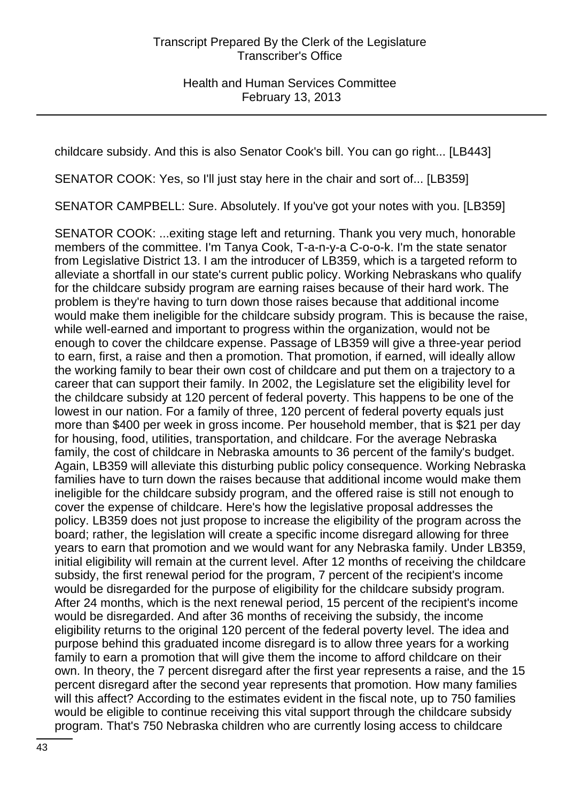childcare subsidy. And this is also Senator Cook's bill. You can go right... [LB443]

SENATOR COOK: Yes, so I'll just stay here in the chair and sort of... [LB359]

SENATOR CAMPBELL: Sure. Absolutely. If you've got your notes with you. [LB359]

SENATOR COOK: ...exiting stage left and returning. Thank you very much, honorable members of the committee. I'm Tanya Cook, T-a-n-y-a C-o-o-k. I'm the state senator from Legislative District 13. I am the introducer of LB359, which is a targeted reform to alleviate a shortfall in our state's current public policy. Working Nebraskans who qualify for the childcare subsidy program are earning raises because of their hard work. The problem is they're having to turn down those raises because that additional income would make them ineligible for the childcare subsidy program. This is because the raise, while well-earned and important to progress within the organization, would not be enough to cover the childcare expense. Passage of LB359 will give a three-year period to earn, first, a raise and then a promotion. That promotion, if earned, will ideally allow the working family to bear their own cost of childcare and put them on a trajectory to a career that can support their family. In 2002, the Legislature set the eligibility level for the childcare subsidy at 120 percent of federal poverty. This happens to be one of the lowest in our nation. For a family of three, 120 percent of federal poverty equals just more than \$400 per week in gross income. Per household member, that is \$21 per day for housing, food, utilities, transportation, and childcare. For the average Nebraska family, the cost of childcare in Nebraska amounts to 36 percent of the family's budget. Again, LB359 will alleviate this disturbing public policy consequence. Working Nebraska families have to turn down the raises because that additional income would make them ineligible for the childcare subsidy program, and the offered raise is still not enough to cover the expense of childcare. Here's how the legislative proposal addresses the policy. LB359 does not just propose to increase the eligibility of the program across the board; rather, the legislation will create a specific income disregard allowing for three years to earn that promotion and we would want for any Nebraska family. Under LB359, initial eligibility will remain at the current level. After 12 months of receiving the childcare subsidy, the first renewal period for the program, 7 percent of the recipient's income would be disregarded for the purpose of eligibility for the childcare subsidy program. After 24 months, which is the next renewal period, 15 percent of the recipient's income would be disregarded. And after 36 months of receiving the subsidy, the income eligibility returns to the original 120 percent of the federal poverty level. The idea and purpose behind this graduated income disregard is to allow three years for a working family to earn a promotion that will give them the income to afford childcare on their own. In theory, the 7 percent disregard after the first year represents a raise, and the 15 percent disregard after the second year represents that promotion. How many families will this affect? According to the estimates evident in the fiscal note, up to 750 families would be eligible to continue receiving this vital support through the childcare subsidy program. That's 750 Nebraska children who are currently losing access to childcare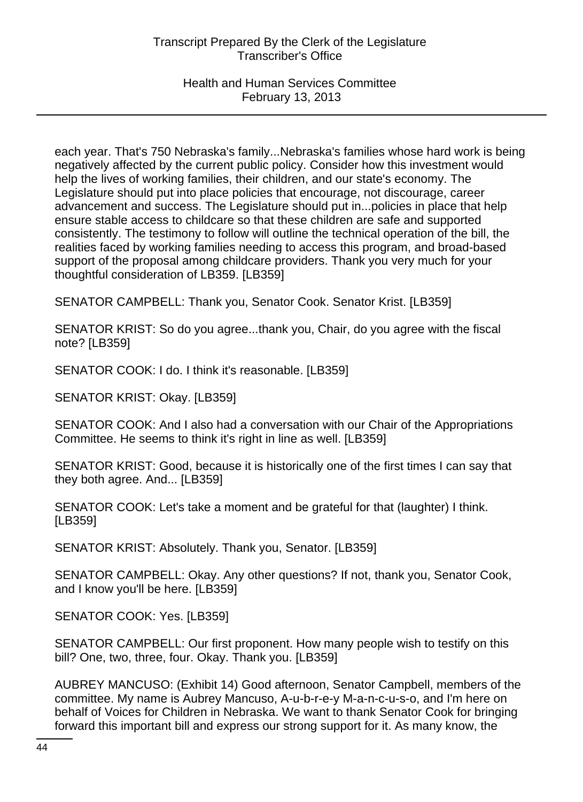### Health and Human Services Committee February 13, 2013

each year. That's 750 Nebraska's family...Nebraska's families whose hard work is being negatively affected by the current public policy. Consider how this investment would help the lives of working families, their children, and our state's economy. The Legislature should put into place policies that encourage, not discourage, career advancement and success. The Legislature should put in...policies in place that help ensure stable access to childcare so that these children are safe and supported consistently. The testimony to follow will outline the technical operation of the bill, the realities faced by working families needing to access this program, and broad-based support of the proposal among childcare providers. Thank you very much for your thoughtful consideration of LB359. [LB359]

SENATOR CAMPBELL: Thank you, Senator Cook. Senator Krist. [LB359]

SENATOR KRIST: So do you agree...thank you, Chair, do you agree with the fiscal note? [LB359]

SENATOR COOK: I do. I think it's reasonable. [LB359]

SENATOR KRIST: Okay. [LB359]

SENATOR COOK: And I also had a conversation with our Chair of the Appropriations Committee. He seems to think it's right in line as well. [LB359]

SENATOR KRIST: Good, because it is historically one of the first times I can say that they both agree. And... [LB359]

SENATOR COOK: Let's take a moment and be grateful for that (laughter) I think. [LB359]

SENATOR KRIST: Absolutely. Thank you, Senator. [LB359]

SENATOR CAMPBELL: Okay. Any other questions? If not, thank you, Senator Cook, and I know you'll be here. [LB359]

SENATOR COOK: Yes. [LB359]

SENATOR CAMPBELL: Our first proponent. How many people wish to testify on this bill? One, two, three, four. Okay. Thank you. [LB359]

AUBREY MANCUSO: (Exhibit 14) Good afternoon, Senator Campbell, members of the committee. My name is Aubrey Mancuso, A-u-b-r-e-y M-a-n-c-u-s-o, and I'm here on behalf of Voices for Children in Nebraska. We want to thank Senator Cook for bringing forward this important bill and express our strong support for it. As many know, the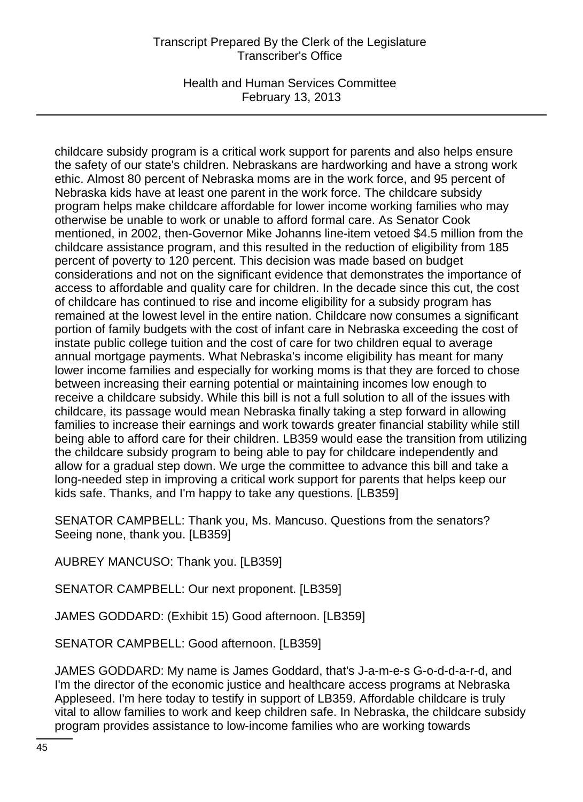Health and Human Services Committee February 13, 2013

childcare subsidy program is a critical work support for parents and also helps ensure the safety of our state's children. Nebraskans are hardworking and have a strong work ethic. Almost 80 percent of Nebraska moms are in the work force, and 95 percent of Nebraska kids have at least one parent in the work force. The childcare subsidy program helps make childcare affordable for lower income working families who may otherwise be unable to work or unable to afford formal care. As Senator Cook mentioned, in 2002, then-Governor Mike Johanns line-item vetoed \$4.5 million from the childcare assistance program, and this resulted in the reduction of eligibility from 185 percent of poverty to 120 percent. This decision was made based on budget considerations and not on the significant evidence that demonstrates the importance of access to affordable and quality care for children. In the decade since this cut, the cost of childcare has continued to rise and income eligibility for a subsidy program has remained at the lowest level in the entire nation. Childcare now consumes a significant portion of family budgets with the cost of infant care in Nebraska exceeding the cost of instate public college tuition and the cost of care for two children equal to average annual mortgage payments. What Nebraska's income eligibility has meant for many lower income families and especially for working moms is that they are forced to chose between increasing their earning potential or maintaining incomes low enough to receive a childcare subsidy. While this bill is not a full solution to all of the issues with childcare, its passage would mean Nebraska finally taking a step forward in allowing families to increase their earnings and work towards greater financial stability while still being able to afford care for their children. LB359 would ease the transition from utilizing the childcare subsidy program to being able to pay for childcare independently and allow for a gradual step down. We urge the committee to advance this bill and take a long-needed step in improving a critical work support for parents that helps keep our kids safe. Thanks, and I'm happy to take any questions. [LB359]

SENATOR CAMPBELL: Thank you, Ms. Mancuso. Questions from the senators? Seeing none, thank you. [LB359]

AUBREY MANCUSO: Thank you. [LB359]

SENATOR CAMPBELL: Our next proponent. [LB359]

JAMES GODDARD: (Exhibit 15) Good afternoon. [LB359]

SENATOR CAMPBELL: Good afternoon. [LB359]

JAMES GODDARD: My name is James Goddard, that's J-a-m-e-s G-o-d-d-a-r-d, and I'm the director of the economic justice and healthcare access programs at Nebraska Appleseed. I'm here today to testify in support of LB359. Affordable childcare is truly vital to allow families to work and keep children safe. In Nebraska, the childcare subsidy program provides assistance to low-income families who are working towards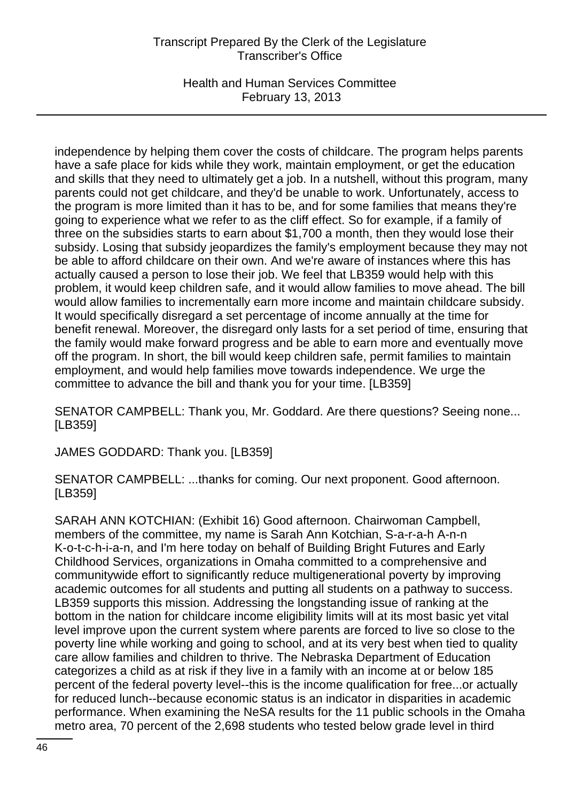Health and Human Services Committee February 13, 2013

independence by helping them cover the costs of childcare. The program helps parents have a safe place for kids while they work, maintain employment, or get the education and skills that they need to ultimately get a job. In a nutshell, without this program, many parents could not get childcare, and they'd be unable to work. Unfortunately, access to the program is more limited than it has to be, and for some families that means they're going to experience what we refer to as the cliff effect. So for example, if a family of three on the subsidies starts to earn about \$1,700 a month, then they would lose their subsidy. Losing that subsidy jeopardizes the family's employment because they may not be able to afford childcare on their own. And we're aware of instances where this has actually caused a person to lose their job. We feel that LB359 would help with this problem, it would keep children safe, and it would allow families to move ahead. The bill would allow families to incrementally earn more income and maintain childcare subsidy. It would specifically disregard a set percentage of income annually at the time for benefit renewal. Moreover, the disregard only lasts for a set period of time, ensuring that the family would make forward progress and be able to earn more and eventually move off the program. In short, the bill would keep children safe, permit families to maintain employment, and would help families move towards independence. We urge the committee to advance the bill and thank you for your time. [LB359]

SENATOR CAMPBELL: Thank you, Mr. Goddard. Are there questions? Seeing none... [LB359]

JAMES GODDARD: Thank you. [LB359]

SENATOR CAMPBELL: ...thanks for coming. Our next proponent. Good afternoon. [LB359]

SARAH ANN KOTCHIAN: (Exhibit 16) Good afternoon. Chairwoman Campbell, members of the committee, my name is Sarah Ann Kotchian, S-a-r-a-h A-n-n K-o-t-c-h-i-a-n, and I'm here today on behalf of Building Bright Futures and Early Childhood Services, organizations in Omaha committed to a comprehensive and communitywide effort to significantly reduce multigenerational poverty by improving academic outcomes for all students and putting all students on a pathway to success. LB359 supports this mission. Addressing the longstanding issue of ranking at the bottom in the nation for childcare income eligibility limits will at its most basic yet vital level improve upon the current system where parents are forced to live so close to the poverty line while working and going to school, and at its very best when tied to quality care allow families and children to thrive. The Nebraska Department of Education categorizes a child as at risk if they live in a family with an income at or below 185 percent of the federal poverty level--this is the income qualification for free...or actually for reduced lunch--because economic status is an indicator in disparities in academic performance. When examining the NeSA results for the 11 public schools in the Omaha metro area, 70 percent of the 2,698 students who tested below grade level in third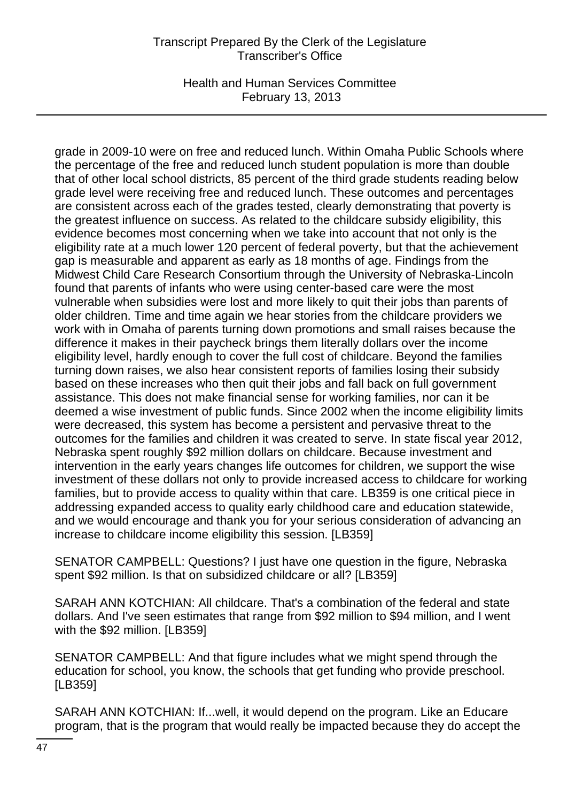Health and Human Services Committee February 13, 2013

grade in 2009-10 were on free and reduced lunch. Within Omaha Public Schools where the percentage of the free and reduced lunch student population is more than double that of other local school districts, 85 percent of the third grade students reading below grade level were receiving free and reduced lunch. These outcomes and percentages are consistent across each of the grades tested, clearly demonstrating that poverty is the greatest influence on success. As related to the childcare subsidy eligibility, this evidence becomes most concerning when we take into account that not only is the eligibility rate at a much lower 120 percent of federal poverty, but that the achievement gap is measurable and apparent as early as 18 months of age. Findings from the Midwest Child Care Research Consortium through the University of Nebraska-Lincoln found that parents of infants who were using center-based care were the most vulnerable when subsidies were lost and more likely to quit their jobs than parents of older children. Time and time again we hear stories from the childcare providers we work with in Omaha of parents turning down promotions and small raises because the difference it makes in their paycheck brings them literally dollars over the income eligibility level, hardly enough to cover the full cost of childcare. Beyond the families turning down raises, we also hear consistent reports of families losing their subsidy based on these increases who then quit their jobs and fall back on full government assistance. This does not make financial sense for working families, nor can it be deemed a wise investment of public funds. Since 2002 when the income eligibility limits were decreased, this system has become a persistent and pervasive threat to the outcomes for the families and children it was created to serve. In state fiscal year 2012, Nebraska spent roughly \$92 million dollars on childcare. Because investment and intervention in the early years changes life outcomes for children, we support the wise investment of these dollars not only to provide increased access to childcare for working families, but to provide access to quality within that care. LB359 is one critical piece in addressing expanded access to quality early childhood care and education statewide, and we would encourage and thank you for your serious consideration of advancing an increase to childcare income eligibility this session. [LB359]

SENATOR CAMPBELL: Questions? I just have one question in the figure, Nebraska spent \$92 million. Is that on subsidized childcare or all? [LB359]

SARAH ANN KOTCHIAN: All childcare. That's a combination of the federal and state dollars. And I've seen estimates that range from \$92 million to \$94 million, and I went with the \$92 million. [LB359]

SENATOR CAMPBELL: And that figure includes what we might spend through the education for school, you know, the schools that get funding who provide preschool. [LB359]

SARAH ANN KOTCHIAN: If...well, it would depend on the program. Like an Educare program, that is the program that would really be impacted because they do accept the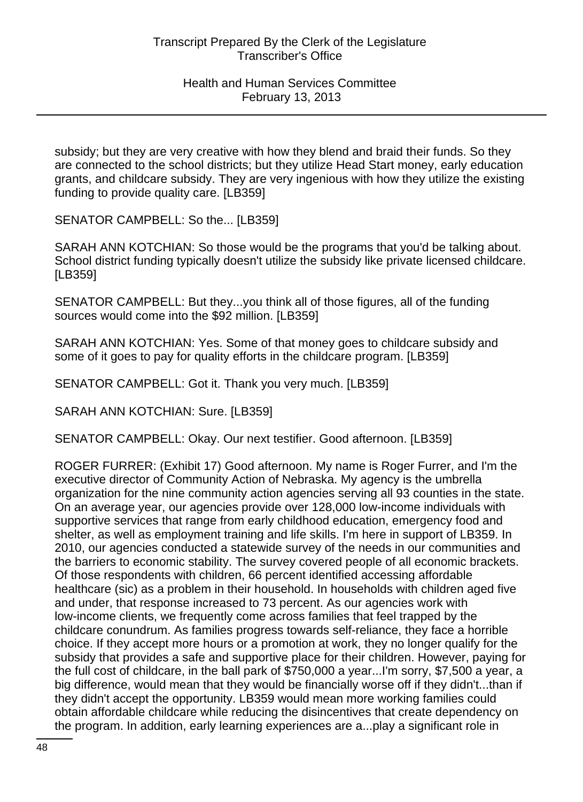subsidy; but they are very creative with how they blend and braid their funds. So they are connected to the school districts; but they utilize Head Start money, early education grants, and childcare subsidy. They are very ingenious with how they utilize the existing funding to provide quality care. [LB359]

SENATOR CAMPBELL: So the... [LB359]

SARAH ANN KOTCHIAN: So those would be the programs that you'd be talking about. School district funding typically doesn't utilize the subsidy like private licensed childcare. [LB359]

SENATOR CAMPBELL: But they...you think all of those figures, all of the funding sources would come into the \$92 million. [LB359]

SARAH ANN KOTCHIAN: Yes. Some of that money goes to childcare subsidy and some of it goes to pay for quality efforts in the childcare program. [LB359]

SENATOR CAMPBELL: Got it. Thank you very much. [LB359]

SARAH ANN KOTCHIAN: Sure. [LB359]

SENATOR CAMPBELL: Okay. Our next testifier. Good afternoon. [LB359]

ROGER FURRER: (Exhibit 17) Good afternoon. My name is Roger Furrer, and I'm the executive director of Community Action of Nebraska. My agency is the umbrella organization for the nine community action agencies serving all 93 counties in the state. On an average year, our agencies provide over 128,000 low-income individuals with supportive services that range from early childhood education, emergency food and shelter, as well as employment training and life skills. I'm here in support of LB359. In 2010, our agencies conducted a statewide survey of the needs in our communities and the barriers to economic stability. The survey covered people of all economic brackets. Of those respondents with children, 66 percent identified accessing affordable healthcare (sic) as a problem in their household. In households with children aged five and under, that response increased to 73 percent. As our agencies work with low-income clients, we frequently come across families that feel trapped by the childcare conundrum. As families progress towards self-reliance, they face a horrible choice. If they accept more hours or a promotion at work, they no longer qualify for the subsidy that provides a safe and supportive place for their children. However, paying for the full cost of childcare, in the ball park of \$750,000 a year...I'm sorry, \$7,500 a year, a big difference, would mean that they would be financially worse off if they didn't...than if they didn't accept the opportunity. LB359 would mean more working families could obtain affordable childcare while reducing the disincentives that create dependency on the program. In addition, early learning experiences are a...play a significant role in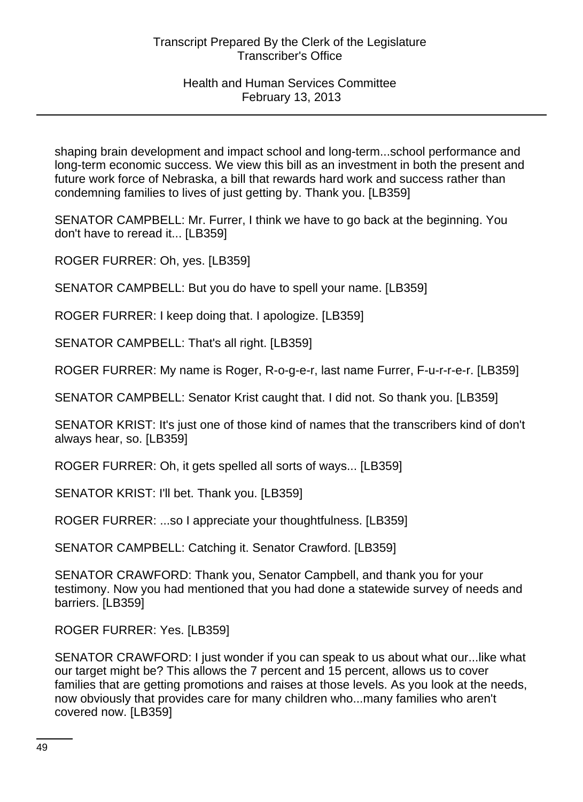shaping brain development and impact school and long-term...school performance and long-term economic success. We view this bill as an investment in both the present and future work force of Nebraska, a bill that rewards hard work and success rather than condemning families to lives of just getting by. Thank you. [LB359]

SENATOR CAMPBELL: Mr. Furrer, I think we have to go back at the beginning. You don't have to reread it... [LB359]

ROGER FURRER: Oh, yes. [LB359]

SENATOR CAMPBELL: But you do have to spell your name. [LB359]

ROGER FURRER: I keep doing that. I apologize. [LB359]

SENATOR CAMPBELL: That's all right. [LB359]

ROGER FURRER: My name is Roger, R-o-g-e-r, last name Furrer, F-u-r-r-e-r. [LB359]

SENATOR CAMPBELL: Senator Krist caught that. I did not. So thank you. [LB359]

SENATOR KRIST: It's just one of those kind of names that the transcribers kind of don't always hear, so. [LB359]

ROGER FURRER: Oh, it gets spelled all sorts of ways... [LB359]

SENATOR KRIST: I'll bet. Thank you. [LB359]

ROGER FURRER: ...so I appreciate your thoughtfulness. [LB359]

SENATOR CAMPBELL: Catching it. Senator Crawford. [LB359]

SENATOR CRAWFORD: Thank you, Senator Campbell, and thank you for your testimony. Now you had mentioned that you had done a statewide survey of needs and barriers. [LB359]

ROGER FURRER: Yes. [LB359]

SENATOR CRAWFORD: I just wonder if you can speak to us about what our...like what our target might be? This allows the 7 percent and 15 percent, allows us to cover families that are getting promotions and raises at those levels. As you look at the needs, now obviously that provides care for many children who...many families who aren't covered now. [LB359]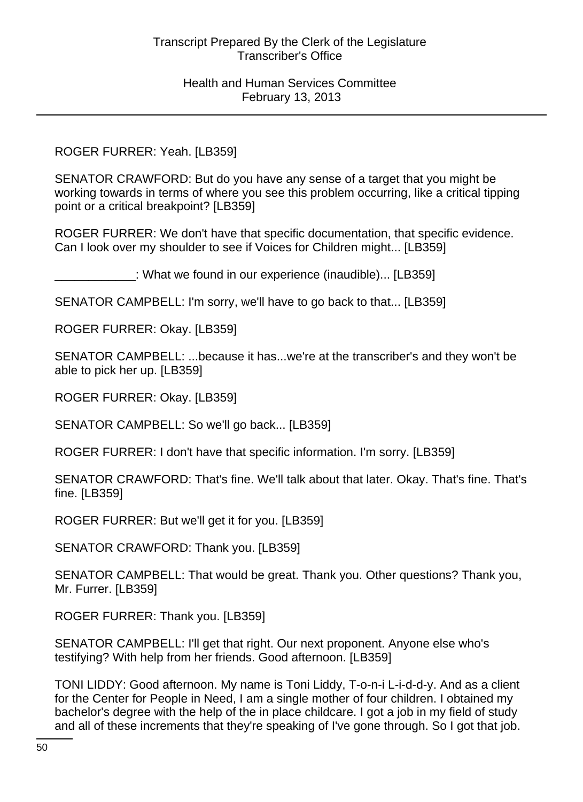# ROGER FURRER: Yeah. [LB359]

SENATOR CRAWFORD: But do you have any sense of a target that you might be working towards in terms of where you see this problem occurring, like a critical tipping point or a critical breakpoint? [LB359]

ROGER FURRER: We don't have that specific documentation, that specific evidence. Can I look over my shoulder to see if Voices for Children might... [LB359]

\_\_\_\_\_\_\_\_\_\_\_\_: What we found in our experience (inaudible)... [LB359]

SENATOR CAMPBELL: I'm sorry, we'll have to go back to that... [LB359]

ROGER FURRER: Okay. [LB359]

SENATOR CAMPBELL: ...because it has...we're at the transcriber's and they won't be able to pick her up. [LB359]

ROGER FURRER: Okay. [LB359]

SENATOR CAMPBELL: So we'll go back... [LB359]

ROGER FURRER: I don't have that specific information. I'm sorry. [LB359]

SENATOR CRAWFORD: That's fine. We'll talk about that later. Okay. That's fine. That's fine. [LB359]

ROGER FURRER: But we'll get it for you. [LB359]

SENATOR CRAWFORD: Thank you. [LB359]

SENATOR CAMPBELL: That would be great. Thank you. Other questions? Thank you, Mr. Furrer. [LB359]

ROGER FURRER: Thank you. [LB359]

SENATOR CAMPBELL: I'll get that right. Our next proponent. Anyone else who's testifying? With help from her friends. Good afternoon. [LB359]

TONI LIDDY: Good afternoon. My name is Toni Liddy, T-o-n-i L-i-d-d-y. And as a client for the Center for People in Need, I am a single mother of four children. I obtained my bachelor's degree with the help of the in place childcare. I got a job in my field of study and all of these increments that they're speaking of I've gone through. So I got that job.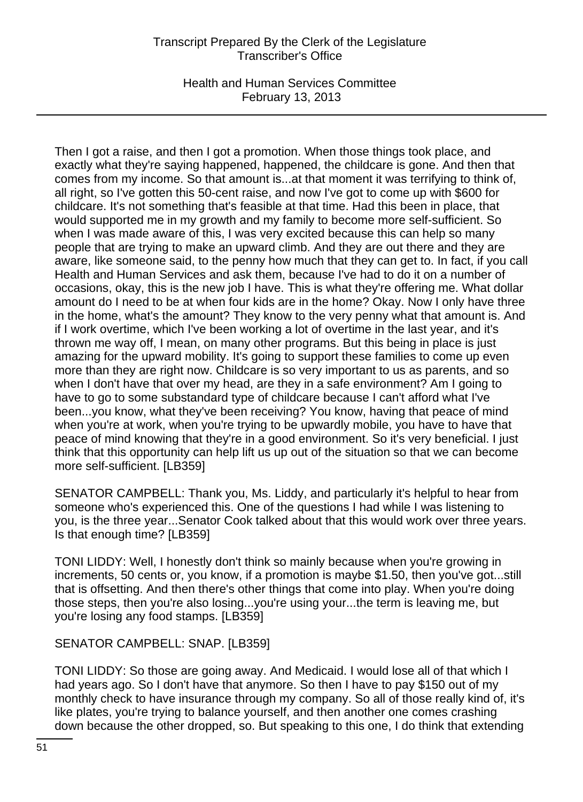Health and Human Services Committee February 13, 2013

Then I got a raise, and then I got a promotion. When those things took place, and exactly what they're saying happened, happened, the childcare is gone. And then that comes from my income. So that amount is...at that moment it was terrifying to think of, all right, so I've gotten this 50-cent raise, and now I've got to come up with \$600 for childcare. It's not something that's feasible at that time. Had this been in place, that would supported me in my growth and my family to become more self-sufficient. So when I was made aware of this, I was very excited because this can help so many people that are trying to make an upward climb. And they are out there and they are aware, like someone said, to the penny how much that they can get to. In fact, if you call Health and Human Services and ask them, because I've had to do it on a number of occasions, okay, this is the new job I have. This is what they're offering me. What dollar amount do I need to be at when four kids are in the home? Okay. Now I only have three in the home, what's the amount? They know to the very penny what that amount is. And if I work overtime, which I've been working a lot of overtime in the last year, and it's thrown me way off, I mean, on many other programs. But this being in place is just amazing for the upward mobility. It's going to support these families to come up even more than they are right now. Childcare is so very important to us as parents, and so when I don't have that over my head, are they in a safe environment? Am I going to have to go to some substandard type of childcare because I can't afford what I've been...you know, what they've been receiving? You know, having that peace of mind when you're at work, when you're trying to be upwardly mobile, you have to have that peace of mind knowing that they're in a good environment. So it's very beneficial. I just think that this opportunity can help lift us up out of the situation so that we can become more self-sufficient. [LB359]

SENATOR CAMPBELL: Thank you, Ms. Liddy, and particularly it's helpful to hear from someone who's experienced this. One of the questions I had while I was listening to you, is the three year...Senator Cook talked about that this would work over three years. Is that enough time? [LB359]

TONI LIDDY: Well, I honestly don't think so mainly because when you're growing in increments, 50 cents or, you know, if a promotion is maybe \$1.50, then you've got...still that is offsetting. And then there's other things that come into play. When you're doing those steps, then you're also losing...you're using your...the term is leaving me, but you're losing any food stamps. [LB359]

SENATOR CAMPBELL: SNAP. [LB359]

TONI LIDDY: So those are going away. And Medicaid. I would lose all of that which I had years ago. So I don't have that anymore. So then I have to pay \$150 out of my monthly check to have insurance through my company. So all of those really kind of, it's like plates, you're trying to balance yourself, and then another one comes crashing down because the other dropped, so. But speaking to this one, I do think that extending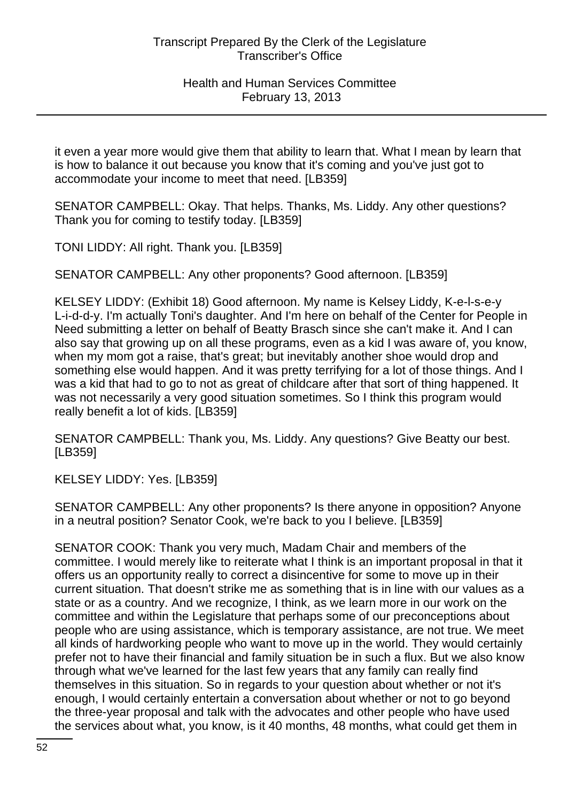it even a year more would give them that ability to learn that. What I mean by learn that is how to balance it out because you know that it's coming and you've just got to accommodate your income to meet that need. [LB359]

SENATOR CAMPBELL: Okay. That helps. Thanks, Ms. Liddy. Any other questions? Thank you for coming to testify today. [LB359]

TONI LIDDY: All right. Thank you. [LB359]

SENATOR CAMPBELL: Any other proponents? Good afternoon. [LB359]

KELSEY LIDDY: (Exhibit 18) Good afternoon. My name is Kelsey Liddy, K-e-l-s-e-y L-i-d-d-y. I'm actually Toni's daughter. And I'm here on behalf of the Center for People in Need submitting a letter on behalf of Beatty Brasch since she can't make it. And I can also say that growing up on all these programs, even as a kid I was aware of, you know, when my mom got a raise, that's great; but inevitably another shoe would drop and something else would happen. And it was pretty terrifying for a lot of those things. And I was a kid that had to go to not as great of childcare after that sort of thing happened. It was not necessarily a very good situation sometimes. So I think this program would really benefit a lot of kids. [LB359]

SENATOR CAMPBELL: Thank you, Ms. Liddy. Any questions? Give Beatty our best. [LB359]

KELSEY LIDDY: Yes. [LB359]

SENATOR CAMPBELL: Any other proponents? Is there anyone in opposition? Anyone in a neutral position? Senator Cook, we're back to you I believe. [LB359]

SENATOR COOK: Thank you very much, Madam Chair and members of the committee. I would merely like to reiterate what I think is an important proposal in that it offers us an opportunity really to correct a disincentive for some to move up in their current situation. That doesn't strike me as something that is in line with our values as a state or as a country. And we recognize, I think, as we learn more in our work on the committee and within the Legislature that perhaps some of our preconceptions about people who are using assistance, which is temporary assistance, are not true. We meet all kinds of hardworking people who want to move up in the world. They would certainly prefer not to have their financial and family situation be in such a flux. But we also know through what we've learned for the last few years that any family can really find themselves in this situation. So in regards to your question about whether or not it's enough, I would certainly entertain a conversation about whether or not to go beyond the three-year proposal and talk with the advocates and other people who have used the services about what, you know, is it 40 months, 48 months, what could get them in